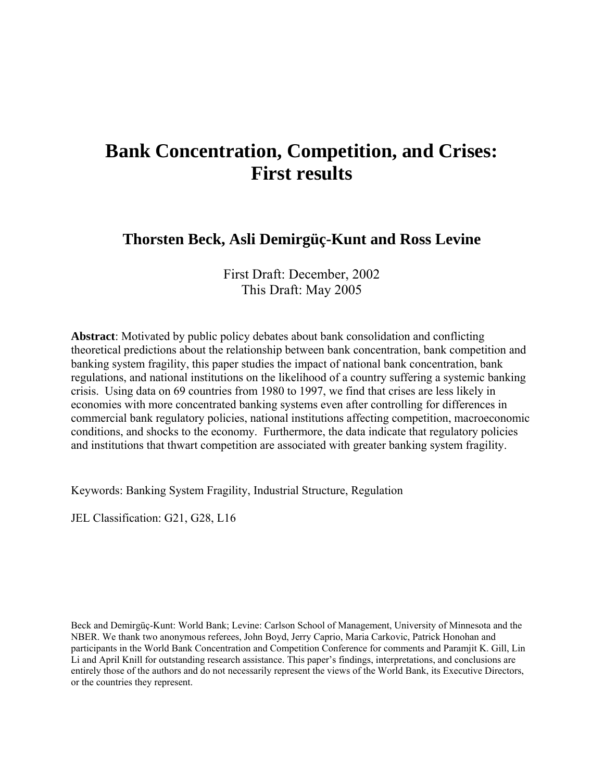# **Bank Concentration, Competition, and Crises: First results**

# **Thorsten Beck, Asli Demirgüç-Kunt and Ross Levine**

First Draft: December, 2002 This Draft: May 2005

**Abstract**: Motivated by public policy debates about bank consolidation and conflicting theoretical predictions about the relationship between bank concentration, bank competition and banking system fragility, this paper studies the impact of national bank concentration, bank regulations, and national institutions on the likelihood of a country suffering a systemic banking crisis. Using data on 69 countries from 1980 to 1997, we find that crises are less likely in economies with more concentrated banking systems even after controlling for differences in commercial bank regulatory policies, national institutions affecting competition, macroeconomic conditions, and shocks to the economy. Furthermore, the data indicate that regulatory policies and institutions that thwart competition are associated with greater banking system fragility.

Keywords: Banking System Fragility, Industrial Structure, Regulation

JEL Classification: G21, G28, L16

Beck and Demirgüç-Kunt: World Bank; Levine: Carlson School of Management, University of Minnesota and the NBER. We thank two anonymous referees, John Boyd, Jerry Caprio, Maria Carkovic, Patrick Honohan and participants in the World Bank Concentration and Competition Conference for comments and Paramjit K. Gill, Lin Li and April Knill for outstanding research assistance. This paper's findings, interpretations, and conclusions are entirely those of the authors and do not necessarily represent the views of the World Bank, its Executive Directors, or the countries they represent.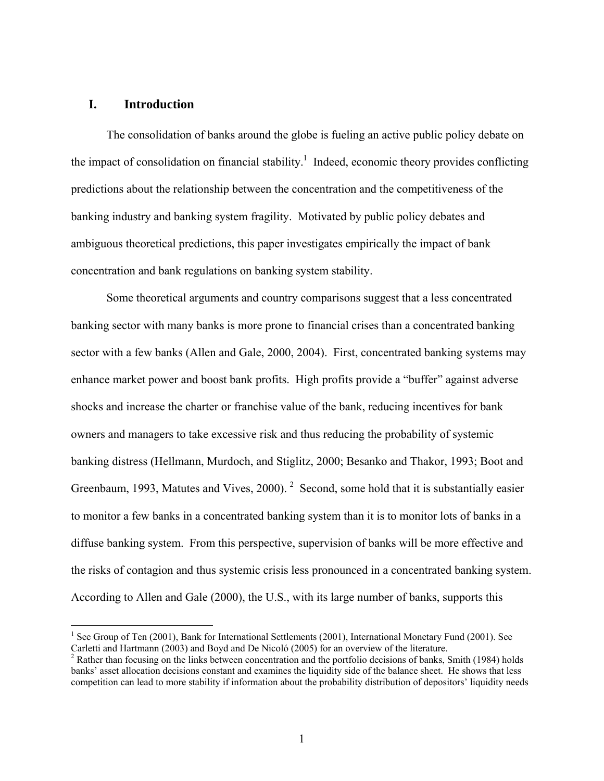# **I. Introduction**

1

The consolidation of banks around the globe is fueling an active public policy debate on the impact of consolidation on financial stability.<sup>[1](#page-1-0)</sup> Indeed, economic theory provides conflicting predictions about the relationship between the concentration and the competitiveness of the banking industry and banking system fragility. Motivated by public policy debates and ambiguous theoretical predictions, this paper investigates empirically the impact of bank concentration and bank regulations on banking system stability.

Some theoretical arguments and country comparisons suggest that a less concentrated banking sector with many banks is more prone to financial crises than a concentrated banking sector with a few banks (Allen and Gale, 2000, 2004). First, concentrated banking systems may enhance market power and boost bank profits. High profits provide a "buffer" against adverse shocks and increase the charter or franchise value of the bank, reducing incentives for bank owners and managers to take excessive risk and thus reducing the probability of systemic banking distress (Hellmann, Murdoch, and Stiglitz, 2000; Besanko and Thakor, 1993; Boot and Greenbaum, 1993, Matutes and Vives, [2](#page-1-1)000).  $2^{\circ}$  Second, some hold that it is substantially easier to monitor a few banks in a concentrated banking system than it is to monitor lots of banks in a diffuse banking system. From this perspective, supervision of banks will be more effective and the risks of contagion and thus systemic crisis less pronounced in a concentrated banking system. According to Allen and Gale (2000), the U.S., with its large number of banks, supports this

<span id="page-1-0"></span><sup>&</sup>lt;sup>1</sup> See Group of Ten (2001), Bank for International Settlements (2001), International Monetary Fund (2001). See Carletti and Hartmann (2003) and Boyd and De Nicoló (2005) for an overview of the literature. 2

<span id="page-1-1"></span> $2$  Rather than focusing on the links between concentration and the portfolio decisions of banks, Smith (1984) holds banks' asset allocation decisions constant and examines the liquidity side of the balance sheet. He shows that less competition can lead to more stability if information about the probability distribution of depositors' liquidity needs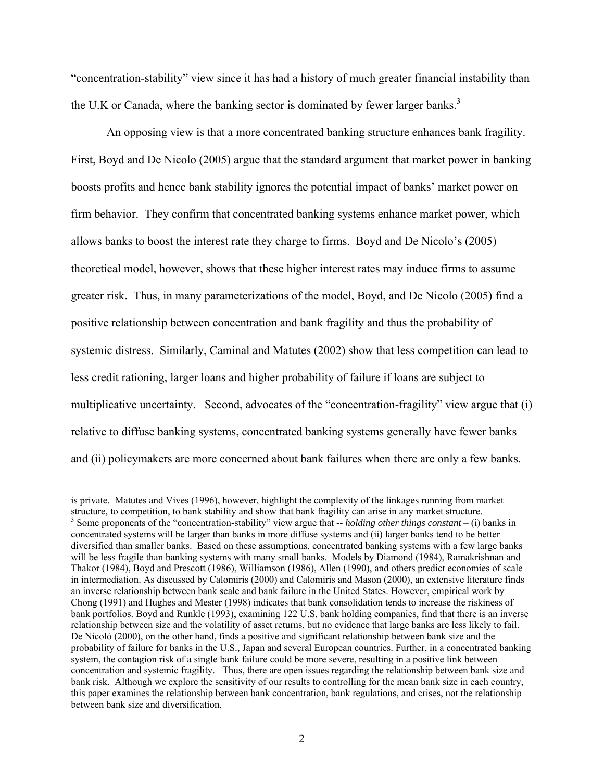"concentration-stability" view since it has had a history of much greater financial instability than the U.K or Canada, where the banking sector is dominated by fewer larger banks.<sup>[3](#page-2-0)</sup>

An opposing view is that a more concentrated banking structure enhances bank fragility. First, Boyd and De Nicolo (2005) argue that the standard argument that market power in banking boosts profits and hence bank stability ignores the potential impact of banks' market power on firm behavior. They confirm that concentrated banking systems enhance market power, which allows banks to boost the interest rate they charge to firms. Boyd and De Nicolo's (2005) theoretical model, however, shows that these higher interest rates may induce firms to assume greater risk. Thus, in many parameterizations of the model, Boyd, and De Nicolo (2005) find a positive relationship between concentration and bank fragility and thus the probability of systemic distress. Similarly, Caminal and Matutes (2002) show that less competition can lead to less credit rationing, larger loans and higher probability of failure if loans are subject to multiplicative uncertainty. Second, advocates of the "concentration-fragility" view argue that (i) relative to diffuse banking systems, concentrated banking systems generally have fewer banks and (ii) policymakers are more concerned about bank failures when there are only a few banks.

<span id="page-2-0"></span>is private. Matutes and Vives (1996), however, highlight the complexity of the linkages running from market structure, to competition, to bank stability and show that bank fragility can arise in any market structure. Some proponents of the "concentration-stability" view argue that -- *holding other things constant* – (i) banks in concentrated systems will be larger than banks in more diffuse systems and (ii) larger banks tend to be better diversified than smaller banks. Based on these assumptions, concentrated banking systems with a few large banks will be less fragile than banking systems with many small banks. Models by Diamond (1984), Ramakrishnan and Thakor (1984), Boyd and Prescott (1986), Williamson (1986), Allen (1990), and others predict economies of scale in intermediation. As discussed by Calomiris (2000) and Calomiris and Mason (2000), an extensive literature finds an inverse relationship between bank scale and bank failure in the United States. However, empirical work by Chong (1991) and Hughes and Mester (1998) indicates that bank consolidation tends to increase the riskiness of bank portfolios. Boyd and Runkle (1993), examining 122 U.S. bank holding companies, find that there is an inverse relationship between size and the volatility of asset returns, but no evidence that large banks are less likely to fail. De Nicoló (2000), on the other hand, finds a positive and significant relationship between bank size and the probability of failure for banks in the U.S., Japan and several European countries. Further, in a concentrated banking system, the contagion risk of a single bank failure could be more severe, resulting in a positive link between concentration and systemic fragility. Thus, there are open issues regarding the relationship between bank size and bank risk. Although we explore the sensitivity of our results to controlling for the mean bank size in each country, this paper examines the relationship between bank concentration, bank regulations, and crises, not the relationship between bank size and diversification.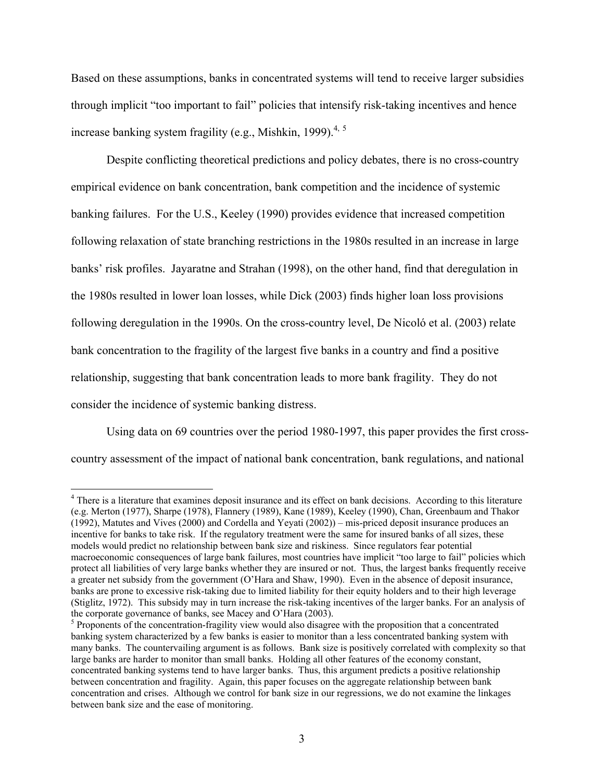Based on these assumptions, banks in concentrated systems will tend to receive larger subsidies through implicit "too important to fail" policies that intensify risk-taking incentives and hence increasebanking system fragility (e.g., Mishkin, 1999).<sup>4, 5</sup>

Despite conflicting theoretical predictions and policy debates, there is no cross-country empirical evidence on bank concentration, bank competition and the incidence of systemic banking failures. For the U.S., Keeley (1990) provides evidence that increased competition following relaxation of state branching restrictions in the 1980s resulted in an increase in large banks' risk profiles. Jayaratne and Strahan (1998), on the other hand, find that deregulation in the 1980s resulted in lower loan losses, while Dick (2003) finds higher loan loss provisions following deregulation in the 1990s. On the cross-country level, De Nicoló et al. (2003) relate bank concentration to the fragility of the largest five banks in a country and find a positive relationship, suggesting that bank concentration leads to more bank fragility. They do not consider the incidence of systemic banking distress.

Using data on 69 countries over the period 1980-1997, this paper provides the first crosscountry assessment of the impact of national bank concentration, bank regulations, and national

<span id="page-3-0"></span><sup>&</sup>lt;sup>4</sup> There is a literature that examines deposit insurance and its effect on bank decisions. According to this literature (e.g. Merton (1977), Sharpe (1978), Flannery (1989), Kane (1989), Keeley (1990), Chan, Greenbaum and Thakor (1992), Matutes and Vives (2000) and Cordella and Yeyati (2002)) – mis-priced deposit insurance produces an incentive for banks to take risk. If the regulatory treatment were the same for insured banks of all sizes, these models would predict no relationship between bank size and riskiness. Since regulators fear potential macroeconomic consequences of large bank failures, most countries have implicit "too large to fail" policies which protect all liabilities of very large banks whether they are insured or not. Thus, the largest banks frequently receive a greater net subsidy from the government (O'Hara and Shaw, 1990). Even in the absence of deposit insurance, banks are prone to excessive risk-taking due to limited liability for their equity holders and to their high leverage (Stiglitz, 1972). This subsidy may in turn increase the risk-taking incentives of the larger banks. For an analysis of the corporate governance of banks, see Macey and O'Hara (2003).

<span id="page-3-1"></span><sup>&</sup>lt;sup>5</sup> Proponents of the concentration-fragility view would also disagree with the proposition that a concentrated banking system characterized by a few banks is easier to monitor than a less concentrated banking system with many banks. The countervailing argument is as follows. Bank size is positively correlated with complexity so that large banks are harder to monitor than small banks. Holding all other features of the economy constant, concentrated banking systems tend to have larger banks. Thus, this argument predicts a positive relationship between concentration and fragility. Again, this paper focuses on the aggregate relationship between bank concentration and crises. Although we control for bank size in our regressions, we do not examine the linkages between bank size and the ease of monitoring.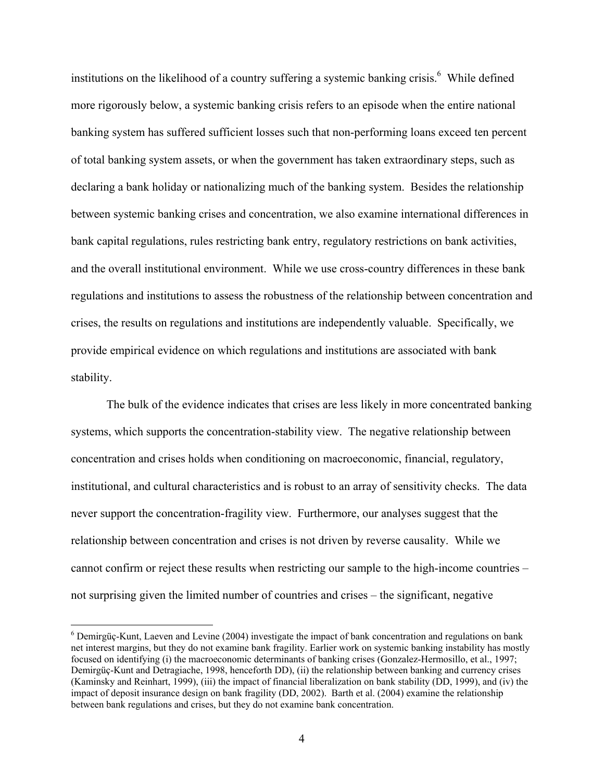institutions on the likelihood of a country suffering a systemic banking crisis.<sup>6</sup> While defined more rigorously below, a systemic banking crisis refers to an episode when the entire national banking system has suffered sufficient losses such that non-performing loans exceed ten percent of total banking system assets, or when the government has taken extraordinary steps, such as declaring a bank holiday or nationalizing much of the banking system. Besides the relationship between systemic banking crises and concentration, we also examine international differences in bank capital regulations, rules restricting bank entry, regulatory restrictions on bank activities, and the overall institutional environment. While we use cross-country differences in these bank regulations and institutions to assess the robustness of the relationship between concentration and crises, the results on regulations and institutions are independently valuable. Specifically, we provide empirical evidence on which regulations and institutions are associated with bank stability.

The bulk of the evidence indicates that crises are less likely in more concentrated banking systems, which supports the concentration-stability view. The negative relationship between concentration and crises holds when conditioning on macroeconomic, financial, regulatory, institutional, and cultural characteristics and is robust to an array of sensitivity checks. The data never support the concentration-fragility view. Furthermore, our analyses suggest that the relationship between concentration and crises is not driven by reverse causality. While we cannot confirm or reject these results when restricting our sample to the high-income countries – not surprising given the limited number of countries and crises – the significant, negative

<span id="page-4-0"></span> $6$  Demirgüç-Kunt, Laeven and Levine (2004) investigate the impact of bank concentration and regulations on bank net interest margins, but they do not examine bank fragility. Earlier work on systemic banking instability has mostly focused on identifying (i) the macroeconomic determinants of banking crises (Gonzalez-Hermosillo, et al., 1997; Demirgüç-Kunt and Detragiache, 1998, henceforth DD), (ii) the relationship between banking and currency crises (Kaminsky and Reinhart, 1999), (iii) the impact of financial liberalization on bank stability (DD, 1999), and (iv) the impact of deposit insurance design on bank fragility (DD, 2002). Barth et al. (2004) examine the relationship between bank regulations and crises, but they do not examine bank concentration.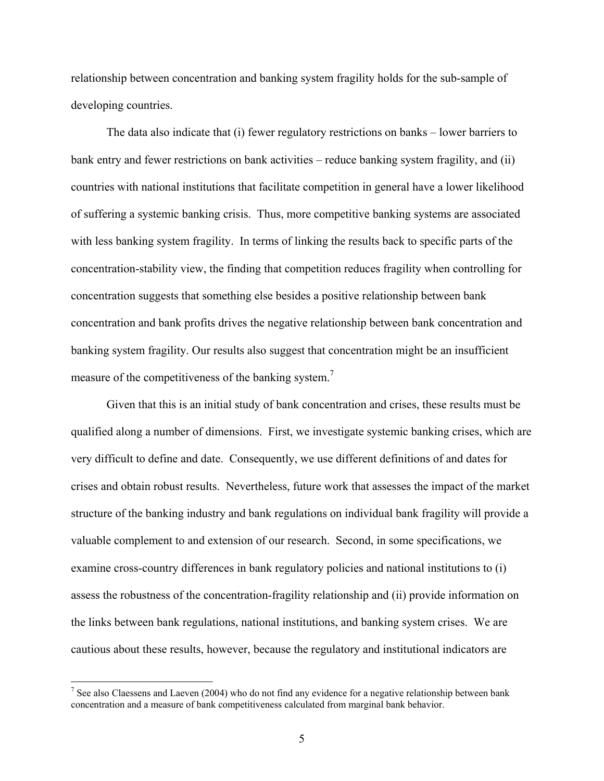relationship between concentration and banking system fragility holds for the sub-sample of developing countries.

The data also indicate that (i) fewer regulatory restrictions on banks – lower barriers to bank entry and fewer restrictions on bank activities – reduce banking system fragility, and (ii) countries with national institutions that facilitate competition in general have a lower likelihood of suffering a systemic banking crisis. Thus, more competitive banking systems are associated with less banking system fragility. In terms of linking the results back to specific parts of the concentration-stability view, the finding that competition reduces fragility when controlling for concentration suggests that something else besides a positive relationship between bank concentration and bank profits drives the negative relationship between bank concentration and banking system fragility. Our results also suggest that concentration might be an insufficient measure of the competitiveness of the banking system.<sup>[7](#page-5-0)</sup>

Given that this is an initial study of bank concentration and crises, these results must be qualified along a number of dimensions. First, we investigate systemic banking crises, which are very difficult to define and date. Consequently, we use different definitions of and dates for crises and obtain robust results. Nevertheless, future work that assesses the impact of the market structure of the banking industry and bank regulations on individual bank fragility will provide a valuable complement to and extension of our research. Second, in some specifications, we examine cross-country differences in bank regulatory policies and national institutions to (i) assess the robustness of the concentration-fragility relationship and (ii) provide information on the links between bank regulations, national institutions, and banking system crises. We are cautious about these results, however, because the regulatory and institutional indicators are

<span id="page-5-0"></span> $7$  See also Claessens and Laeven (2004) who do not find any evidence for a negative relationship between bank concentration and a measure of bank competitiveness calculated from marginal bank behavior.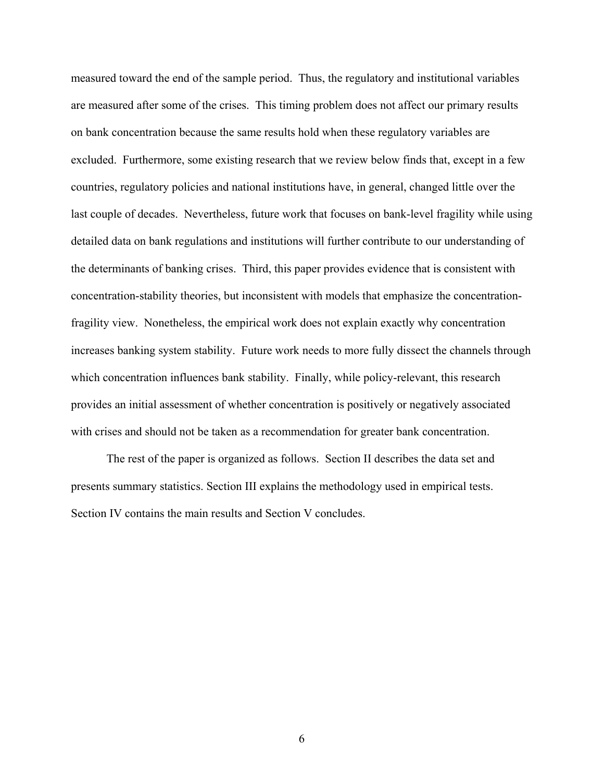measured toward the end of the sample period. Thus, the regulatory and institutional variables are measured after some of the crises. This timing problem does not affect our primary results on bank concentration because the same results hold when these regulatory variables are excluded. Furthermore, some existing research that we review below finds that, except in a few countries, regulatory policies and national institutions have, in general, changed little over the last couple of decades. Nevertheless, future work that focuses on bank-level fragility while using detailed data on bank regulations and institutions will further contribute to our understanding of the determinants of banking crises. Third, this paper provides evidence that is consistent with concentration-stability theories, but inconsistent with models that emphasize the concentrationfragility view. Nonetheless, the empirical work does not explain exactly why concentration increases banking system stability. Future work needs to more fully dissect the channels through which concentration influences bank stability. Finally, while policy-relevant, this research provides an initial assessment of whether concentration is positively or negatively associated with crises and should not be taken as a recommendation for greater bank concentration.

The rest of the paper is organized as follows. Section II describes the data set and presents summary statistics. Section III explains the methodology used in empirical tests. Section IV contains the main results and Section V concludes.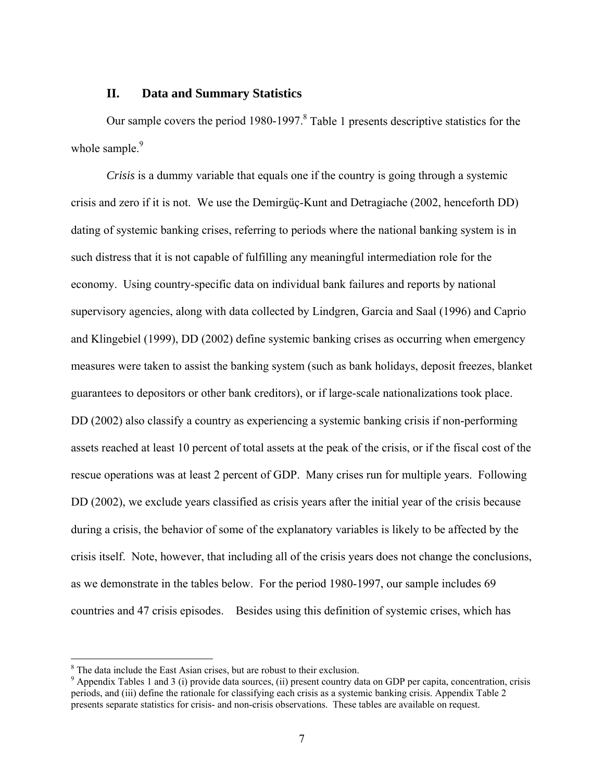# **II. Data and Summary Statistics**

Our sample covers the period 19[8](#page-7-0)0-1997. $8$  Table 1 presents descriptive statistics for the whole sample. $9$ 

*Crisis* is a dummy variable that equals one if the country is going through a systemic crisis and zero if it is not. We use the Demirgüç-Kunt and Detragiache (2002, henceforth DD) dating of systemic banking crises, referring to periods where the national banking system is in such distress that it is not capable of fulfilling any meaningful intermediation role for the economy. Using country-specific data on individual bank failures and reports by national supervisory agencies, along with data collected by Lindgren, Garcia and Saal (1996) and Caprio and Klingebiel (1999), DD (2002) define systemic banking crises as occurring when emergency measures were taken to assist the banking system (such as bank holidays, deposit freezes, blanket guarantees to depositors or other bank creditors), or if large-scale nationalizations took place. DD (2002) also classify a country as experiencing a systemic banking crisis if non-performing assets reached at least 10 percent of total assets at the peak of the crisis, or if the fiscal cost of the rescue operations was at least 2 percent of GDP. Many crises run for multiple years. Following DD (2002), we exclude years classified as crisis years after the initial year of the crisis because during a crisis, the behavior of some of the explanatory variables is likely to be affected by the crisis itself. Note, however, that including all of the crisis years does not change the conclusions, as we demonstrate in the tables below. For the period 1980-1997, our sample includes 69 countries and 47 crisis episodes. Besides using this definition of systemic crises, which has

<span id="page-7-0"></span><sup>&</sup>lt;sup>8</sup> The data include the East Asian crises, but are robust to their exclusion.

<span id="page-7-1"></span> $9$  Appendix Tables 1 and 3 (i) provide data sources, (ii) present country data on GDP per capita, concentration, crisis periods, and (iii) define the rationale for classifying each crisis as a systemic banking crisis. Appendix Table 2 presents separate statistics for crisis- and non-crisis observations. These tables are available on request.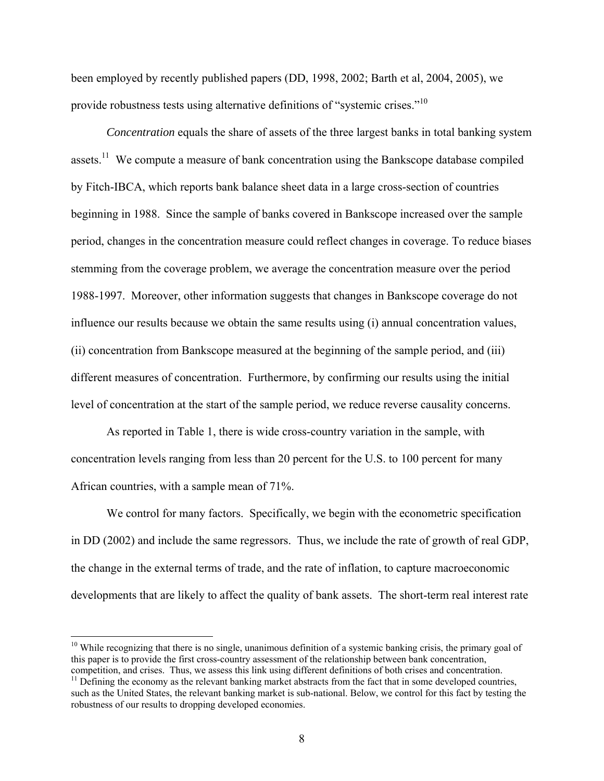been employed by recently published papers (DD, 1998, 2002; Barth et al, 2004, 2005), we provide robustness tests using alternative definitions of "systemic crises."[10](#page-8-0) 

*Concentration* equals the share of assets of the three largest banks in total banking system assets.<sup>11</sup> We compute a measure of bank concentration using the Bankscope database compiled by Fitch-IBCA, which reports bank balance sheet data in a large cross-section of countries beginning in 1988. Since the sample of banks covered in Bankscope increased over the sample period, changes in the concentration measure could reflect changes in coverage. To reduce biases stemming from the coverage problem, we average the concentration measure over the period 1988-1997. Moreover, other information suggests that changes in Bankscope coverage do not influence our results because we obtain the same results using (i) annual concentration values, (ii) concentration from Bankscope measured at the beginning of the sample period, and (iii) different measures of concentration. Furthermore, by confirming our results using the initial level of concentration at the start of the sample period, we reduce reverse causality concerns.

As reported in Table 1, there is wide cross-country variation in the sample, with concentration levels ranging from less than 20 percent for the U.S. to 100 percent for many African countries, with a sample mean of 71%.

We control for many factors. Specifically, we begin with the econometric specification in DD (2002) and include the same regressors. Thus, we include the rate of growth of real GDP, the change in the external terms of trade, and the rate of inflation, to capture macroeconomic developments that are likely to affect the quality of bank assets. The short-term real interest rate

<span id="page-8-0"></span><sup>&</sup>lt;sup>10</sup> While recognizing that there is no single, unanimous definition of a systemic banking crisis, the primary goal of this paper is to provide the first cross-country assessment of the relationship between bank concentration, competition, and crises. Thus, we assess this link using different definitions of both crises and concentration.

<span id="page-8-1"></span><sup>&</sup>lt;sup>11</sup> Defining the economy as the relevant banking market abstracts from the fact that in some developed countries, such as the United States, the relevant banking market is sub-national. Below, we control for this fact by testing the robustness of our results to dropping developed economies.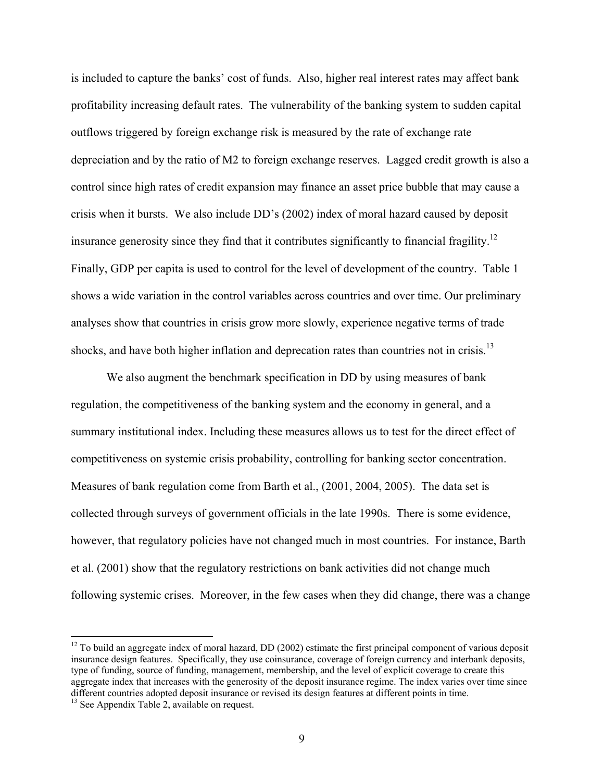is included to capture the banks' cost of funds. Also, higher real interest rates may affect bank profitability increasing default rates. The vulnerability of the banking system to sudden capital outflows triggered by foreign exchange risk is measured by the rate of exchange rate depreciation and by the ratio of M2 to foreign exchange reserves. Lagged credit growth is also a control since high rates of credit expansion may finance an asset price bubble that may cause a crisis when it bursts. We also include DD's (2002) index of moral hazard caused by deposit insurance generosity since they find that it contributes significantly to financial fragility.[12](#page-9-0)  Finally, GDP per capita is used to control for the level of development of the country. Table 1 shows a wide variation in the control variables across countries and over time. Our preliminary analyses show that countries in crisis grow more slowly, experience negative terms of trade shocks, and have both higher inflation and deprecation rates than countries not in crisis.<sup>13</sup>

We also augment the benchmark specification in DD by using measures of bank regulation, the competitiveness of the banking system and the economy in general, and a summary institutional index. Including these measures allows us to test for the direct effect of competitiveness on systemic crisis probability, controlling for banking sector concentration. Measures of bank regulation come from Barth et al., (2001, 2004, 2005). The data set is collected through surveys of government officials in the late 1990s. There is some evidence, however, that regulatory policies have not changed much in most countries. For instance, Barth et al. (2001) show that the regulatory restrictions on bank activities did not change much following systemic crises. Moreover, in the few cases when they did change, there was a change

<span id="page-9-0"></span> $12$  To build an aggregate index of moral hazard, DD (2002) estimate the first principal component of various deposit insurance design features. Specifically, they use coinsurance, coverage of foreign currency and interbank deposits, type of funding, source of funding, management, membership, and the level of explicit coverage to create this aggregate index that increases with the generosity of the deposit insurance regime. The index varies over time since different countries adopted deposit insurance or revised its design features at different points in time. 13 See Appendix Table 2, available on request.

<span id="page-9-1"></span>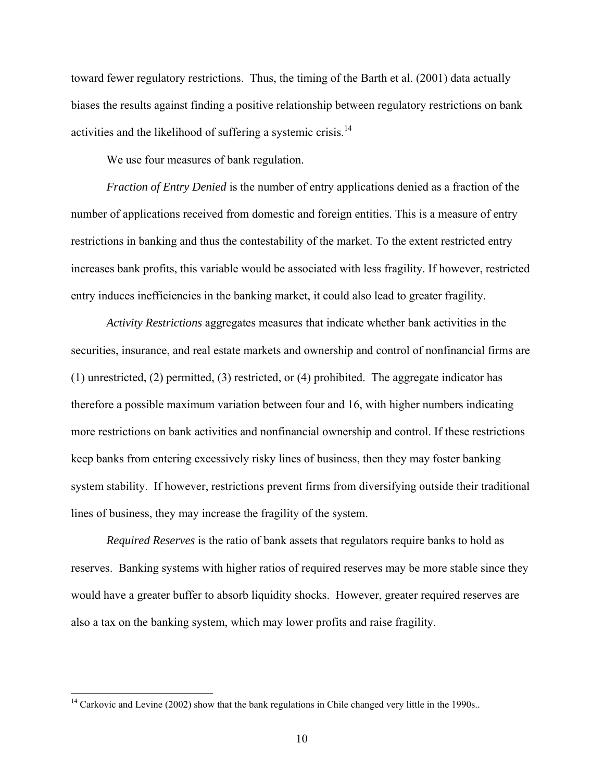toward fewer regulatory restrictions. Thus, the timing of the Barth et al. (2001) data actually biases the results against finding a positive relationship between regulatory restrictions on bank activities and the likelihood of suffering a systemic crisis. $14$ 

We use four measures of bank regulation.

*Fraction of Entry Denied* is the number of entry applications denied as a fraction of the number of applications received from domestic and foreign entities. This is a measure of entry restrictions in banking and thus the contestability of the market. To the extent restricted entry increases bank profits, this variable would be associated with less fragility. If however, restricted entry induces inefficiencies in the banking market, it could also lead to greater fragility.

*Activity Restrictions* aggregates measures that indicate whether bank activities in the securities, insurance, and real estate markets and ownership and control of nonfinancial firms are (1) unrestricted, (2) permitted, (3) restricted, or (4) prohibited. The aggregate indicator has therefore a possible maximum variation between four and 16, with higher numbers indicating more restrictions on bank activities and nonfinancial ownership and control. If these restrictions keep banks from entering excessively risky lines of business, then they may foster banking system stability. If however, restrictions prevent firms from diversifying outside their traditional lines of business, they may increase the fragility of the system.

*Required Reserves* is the ratio of bank assets that regulators require banks to hold as reserves. Banking systems with higher ratios of required reserves may be more stable since they would have a greater buffer to absorb liquidity shocks. However, greater required reserves are also a tax on the banking system, which may lower profits and raise fragility.

<span id="page-10-0"></span><sup>&</sup>lt;sup>14</sup> Carkovic and Levine (2002) show that the bank regulations in Chile changed very little in the 1990s..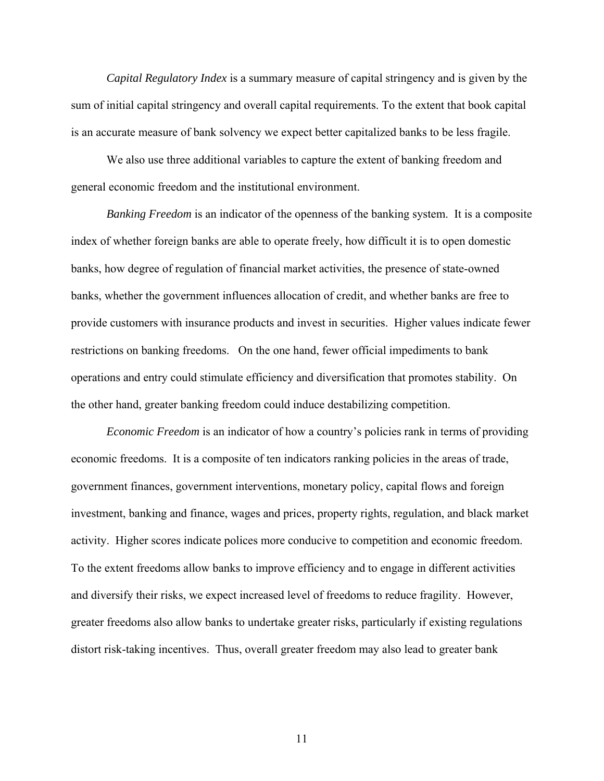*Capital Regulatory Index* is a summary measure of capital stringency and is given by the sum of initial capital stringency and overall capital requirements. To the extent that book capital is an accurate measure of bank solvency we expect better capitalized banks to be less fragile.

We also use three additional variables to capture the extent of banking freedom and general economic freedom and the institutional environment.

*Banking Freedom* is an indicator of the openness of the banking system. It is a composite index of whether foreign banks are able to operate freely, how difficult it is to open domestic banks, how degree of regulation of financial market activities, the presence of state-owned banks, whether the government influences allocation of credit, and whether banks are free to provide customers with insurance products and invest in securities. Higher values indicate fewer restrictions on banking freedoms. On the one hand, fewer official impediments to bank operations and entry could stimulate efficiency and diversification that promotes stability. On the other hand, greater banking freedom could induce destabilizing competition.

*Economic Freedom* is an indicator of how a country's policies rank in terms of providing economic freedoms. It is a composite of ten indicators ranking policies in the areas of trade, government finances, government interventions, monetary policy, capital flows and foreign investment, banking and finance, wages and prices, property rights, regulation, and black market activity. Higher scores indicate polices more conducive to competition and economic freedom. To the extent freedoms allow banks to improve efficiency and to engage in different activities and diversify their risks, we expect increased level of freedoms to reduce fragility. However, greater freedoms also allow banks to undertake greater risks, particularly if existing regulations distort risk-taking incentives. Thus, overall greater freedom may also lead to greater bank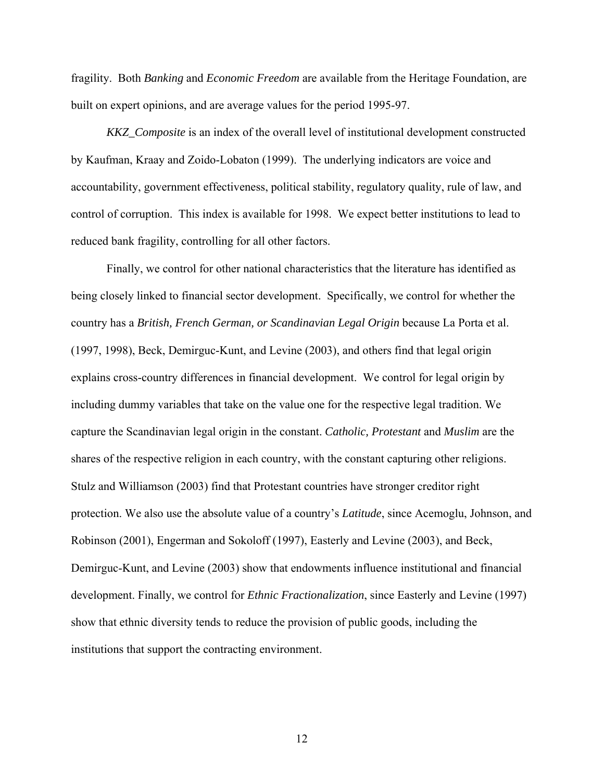fragility. Both *Banking* and *Economic Freedom* are available from the Heritage Foundation, are built on expert opinions, and are average values for the period 1995-97.

*KKZ\_Composite* is an index of the overall level of institutional development constructed by Kaufman, Kraay and Zoido-Lobaton (1999). The underlying indicators are voice and accountability, government effectiveness, political stability, regulatory quality, rule of law, and control of corruption. This index is available for 1998. We expect better institutions to lead to reduced bank fragility, controlling for all other factors.

Finally, we control for other national characteristics that the literature has identified as being closely linked to financial sector development. Specifically, we control for whether the country has a *British, French German, or Scandinavian Legal Origin* because La Porta et al. (1997, 1998), Beck, Demirguc-Kunt, and Levine (2003), and others find that legal origin explains cross-country differences in financial development. We control for legal origin by including dummy variables that take on the value one for the respective legal tradition. We capture the Scandinavian legal origin in the constant. *Catholic, Protestant* and *Muslim* are the shares of the respective religion in each country, with the constant capturing other religions. Stulz and Williamson (2003) find that Protestant countries have stronger creditor right protection. We also use the absolute value of a country's *Latitude*, since Acemoglu, Johnson, and Robinson (2001), Engerman and Sokoloff (1997), Easterly and Levine (2003), and Beck, Demirguc-Kunt, and Levine (2003) show that endowments influence institutional and financial development. Finally, we control for *Ethnic Fractionalization*, since Easterly and Levine (1997) show that ethnic diversity tends to reduce the provision of public goods, including the institutions that support the contracting environment.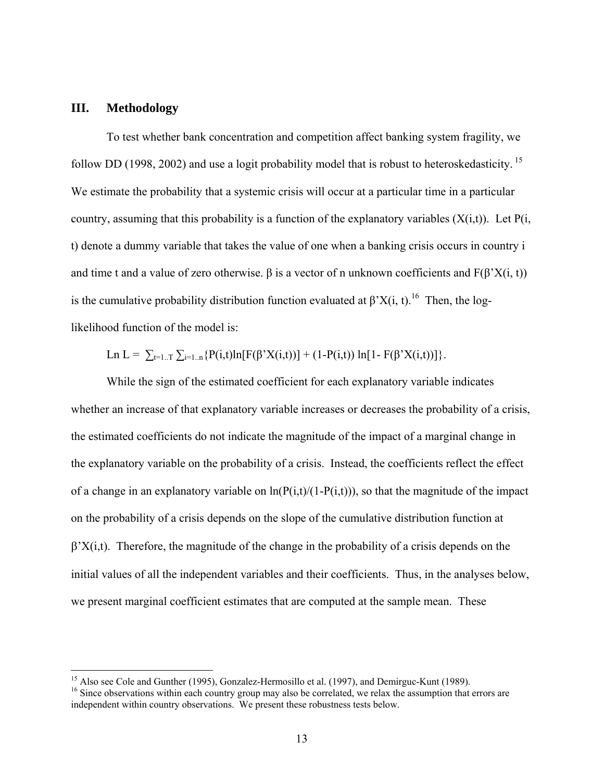## **III. Methodology**

 $\overline{a}$ 

To test whether bank concentration and competition affect banking system fragility, we follow DD (1998, 2002) and use a logit probability model that is robust to heteroskedasticity.  $^{15}$ We estimate the probability that a systemic crisis will occur at a particular time in a particular country, assuming that this probability is a function of the explanatory variables  $(X(i,t))$ . Let  $P(i, t)$ t) denote a dummy variable that takes the value of one when a banking crisis occurs in country i and time t and a value of zero otherwise.  $\beta$  is a vector of n unknown coefficients and  $F(\beta'X(i, t))$ is the cumulative probability distribution function evaluated at  $\beta'X(i, t)$ <sup>16</sup> Then, the loglikelihood function of the model is:

Ln L =  $\sum_{t=1}$ .  $\sum_{i=1}$ .  $\{P(i,t) \ln[F(\beta'X(i,t))] + (1-P(i,t)) \ln[1-F(\beta'X(i,t))] \}.$ 

While the sign of the estimated coefficient for each explanatory variable indicates whether an increase of that explanatory variable increases or decreases the probability of a crisis, the estimated coefficients do not indicate the magnitude of the impact of a marginal change in the explanatory variable on the probability of a crisis. Instead, the coefficients reflect the effect of a change in an explanatory variable on  $\ln(P(i,t)/(1-P(i,t)))$ , so that the magnitude of the impact on the probability of a crisis depends on the slope of the cumulative distribution function at  $\beta'X(i,t)$ . Therefore, the magnitude of the change in the probability of a crisis depends on the initial values of all the independent variables and their coefficients. Thus, in the analyses below, we present marginal coefficient estimates that are computed at the sample mean. These

<span id="page-13-1"></span><span id="page-13-0"></span>

<sup>&</sup>lt;sup>15</sup> Also see Cole and Gunther (1995), Gonzalez-Hermosillo et al. (1997), and Demirguc-Kunt (1989).<br><sup>16</sup> Since observations within each country group may also be correlated, we relax the assumption that errors are independent within country observations. We present these robustness tests below.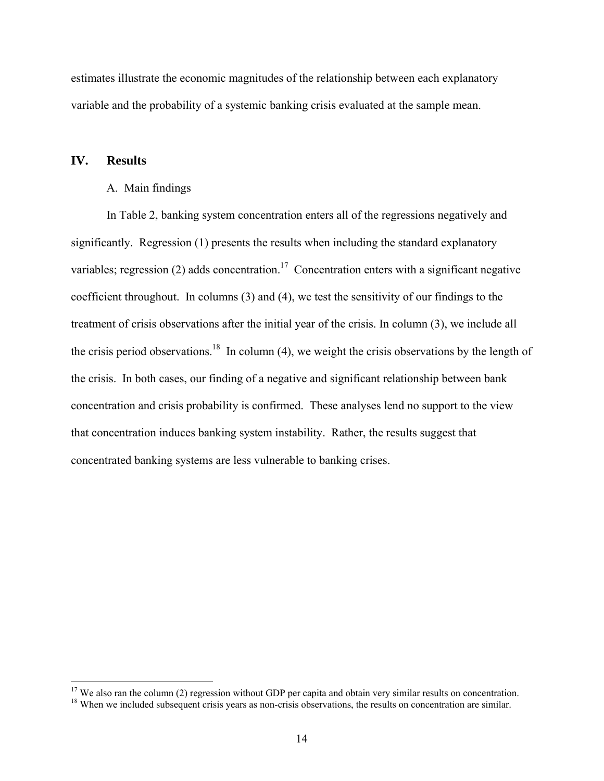estimates illustrate the economic magnitudes of the relationship between each explanatory variable and the probability of a systemic banking crisis evaluated at the sample mean.

## **IV. Results**

#### A. Main findings

In Table 2, banking system concentration enters all of the regressions negatively and significantly. Regression (1) presents the results when including the standard explanatory variables; regression (2) adds concentration.<sup>17</sup> Concentration enters with a significant negative coefficient throughout. In columns (3) and (4), we test the sensitivity of our findings to the treatment of crisis observations after the initial year of the crisis. In column (3), we include all the crisis period observations.<sup>18</sup> In column (4), we weight the crisis observations by the length of the crisis. In both cases, our finding of a negative and significant relationship between bank concentration and crisis probability is confirmed. These analyses lend no support to the view that concentration induces banking system instability. Rather, the results suggest that concentrated banking systems are less vulnerable to banking crises.

<span id="page-14-0"></span> $17$  We also ran the column (2) regression without GDP per capita and obtain very similar results on concentration.

<span id="page-14-1"></span><sup>&</sup>lt;sup>18</sup> When we included subsequent crisis years as non-crisis observations, the results on concentration are similar.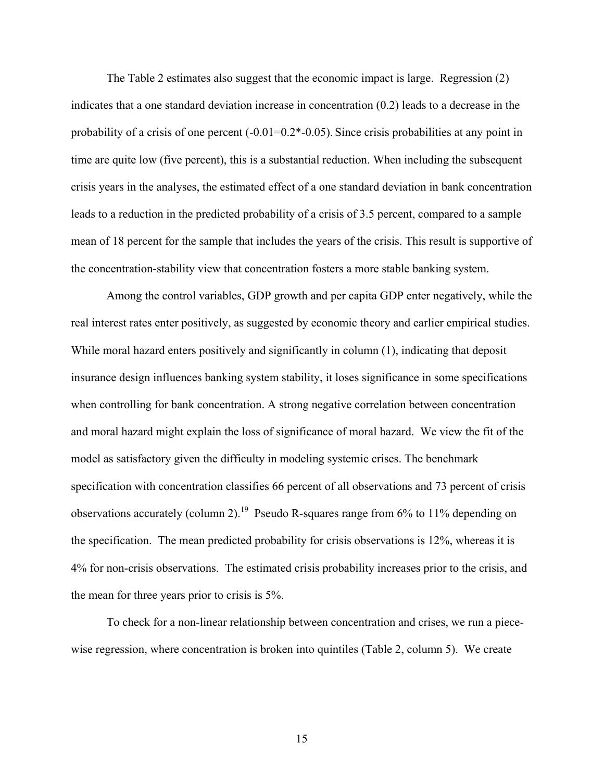The Table 2 estimates also suggest that the economic impact is large. Regression (2) indicates that a one standard deviation increase in concentration (0.2) leads to a decrease in the probability of a crisis of one percent  $(-0.01=0.2*-0.05)$ . Since crisis probabilities at any point in time are quite low (five percent), this is a substantial reduction. When including the subsequent crisis years in the analyses, the estimated effect of a one standard deviation in bank concentration leads to a reduction in the predicted probability of a crisis of 3.5 percent, compared to a sample mean of 18 percent for the sample that includes the years of the crisis. This result is supportive of the concentration-stability view that concentration fosters a more stable banking system.

Among the control variables, GDP growth and per capita GDP enter negatively, while the real interest rates enter positively, as suggested by economic theory and earlier empirical studies. While moral hazard enters positively and significantly in column  $(1)$ , indicating that deposit insurance design influences banking system stability, it loses significance in some specifications when controlling for bank concentration. A strong negative correlation between concentration and moral hazard might explain the loss of significance of moral hazard. We view the fit of the model as satisfactory given the difficulty in modeling systemic crises. The benchmark specification with concentration classifies 66 percent of all observations and 73 percent of crisis observations accurately (column 2).<sup>19</sup> Pseudo R-squares range from  $6\%$  to 11% depending on the specification. The mean predicted probability for crisis observations is 12%, whereas it is 4% for non-crisis observations. The estimated crisis probability increases prior to the crisis, and the mean for three years prior to crisis is 5%.

<span id="page-15-0"></span>To check for a non-linear relationship between concentration and crises, we run a piecewise regression, where concentration is broken into quintiles (Table 2, column 5). We create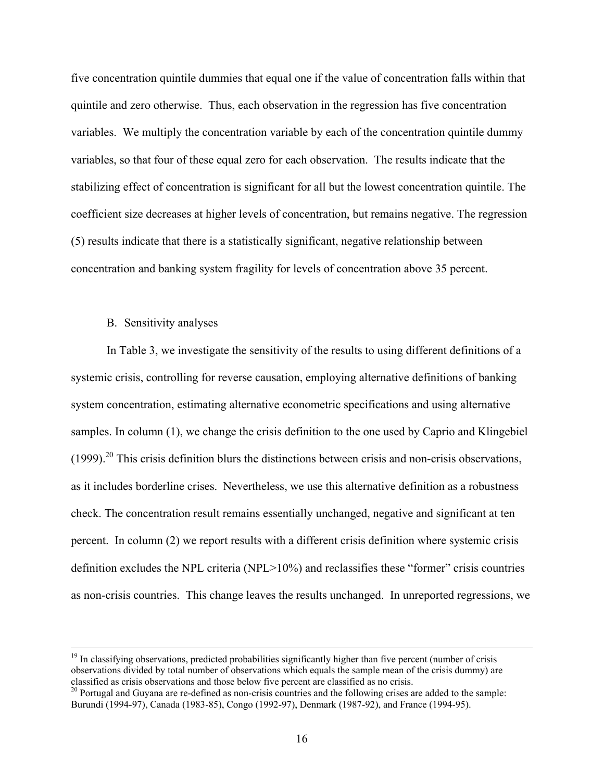five concentration quintile dummies that equal one if the value of concentration falls within that quintile and zero otherwise. Thus, each observation in the regression has five concentration variables. We multiply the concentration variable by each of the concentration quintile dummy variables, so that four of these equal zero for each observation. The results indicate that the stabilizing effect of concentration is significant for all but the lowest concentration quintile. The coefficient size decreases at higher levels of concentration, but remains negative. The regression (5) results indicate that there is a statistically significant, negative relationship between concentration and banking system fragility for levels of concentration above 35 percent.

#### B. Sensitivity analyses

In Table 3, we investigate the sensitivity of the results to using different definitions of a systemic crisis, controlling for reverse causation, employing alternative definitions of banking system concentration, estimating alternative econometric specifications and using alternative samples. In column (1), we change the crisis definition to the one used by Caprio and Klingebiel  $(1999)$ <sup>20</sup> This crisis definition blurs the distinctions between crisis and non-crisis observations, as it includes borderline crises. Nevertheless, we use this alternative definition as a robustness check. The concentration result remains essentially unchanged, negative and significant at ten percent. In column (2) we report results with a different crisis definition where systemic crisis definition excludes the NPL criteria (NPL>10%) and reclassifies these "former" crisis countries as non-crisis countries. This change leaves the results unchanged. In unreported regressions, we

 $19$  In classifying observations, predicted probabilities significantly higher than five percent (number of crisis observations divided by total number of observations which equals the sample mean of the crisis dummy) are

<span id="page-16-0"></span>classified as crisis of the percent are re-defined as non-crisis countries and the following crises are added to the sample: Burundi (1994-97), Canada (1983-85), Congo (1992-97), Denmark (1987-92), and France (1994-95).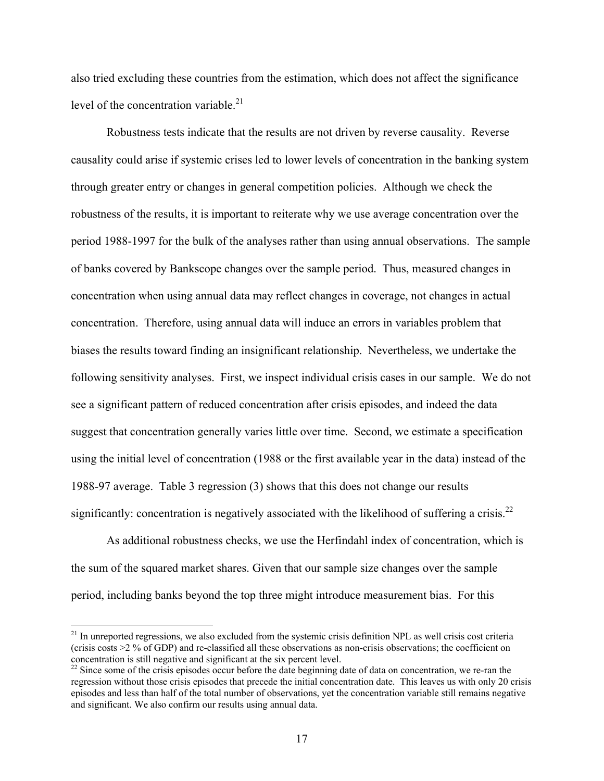also tried excluding these countries from the estimation, which does not affect the significance level of the concentration variable.<sup>21</sup>

Robustness tests indicate that the results are not driven by reverse causality. Reverse causality could arise if systemic crises led to lower levels of concentration in the banking system through greater entry or changes in general competition policies. Although we check the robustness of the results, it is important to reiterate why we use average concentration over the period 1988-1997 for the bulk of the analyses rather than using annual observations. The sample of banks covered by Bankscope changes over the sample period. Thus, measured changes in concentration when using annual data may reflect changes in coverage, not changes in actual concentration. Therefore, using annual data will induce an errors in variables problem that biases the results toward finding an insignificant relationship. Nevertheless, we undertake the following sensitivity analyses. First, we inspect individual crisis cases in our sample. We do not see a significant pattern of reduced concentration after crisis episodes, and indeed the data suggest that concentration generally varies little over time. Second, we estimate a specification using the initial level of concentration (1988 or the first available year in the data) instead of the 1988-97 average. Table 3 regression (3) shows that this does not change our results significantly: concentration is negatively associated with the likelihood of suffering a crisis.<sup>22</sup>

As additional robustness checks, we use the Herfindahl index of concentration, which is the sum of the squared market shares. Given that our sample size changes over the sample period, including banks beyond the top three might introduce measurement bias. For this

<u>.</u>

<span id="page-17-0"></span> $21$  In unreported regressions, we also excluded from the systemic crisis definition NPL as well crisis cost criteria (crisis costs >2 % of GDP) and re-classified all these observations as non-crisis observations; the coefficient on concentration is still negative and significant at the six percent level.<br><sup>22</sup> Since some of the crisis episodes occur before the date beginning date of data on concentration, we re-ran the

<span id="page-17-1"></span>regression without those crisis episodes that precede the initial concentration date. This leaves us with only 20 crisis episodes and less than half of the total number of observations, yet the concentration variable still remains negative and significant. We also confirm our results using annual data.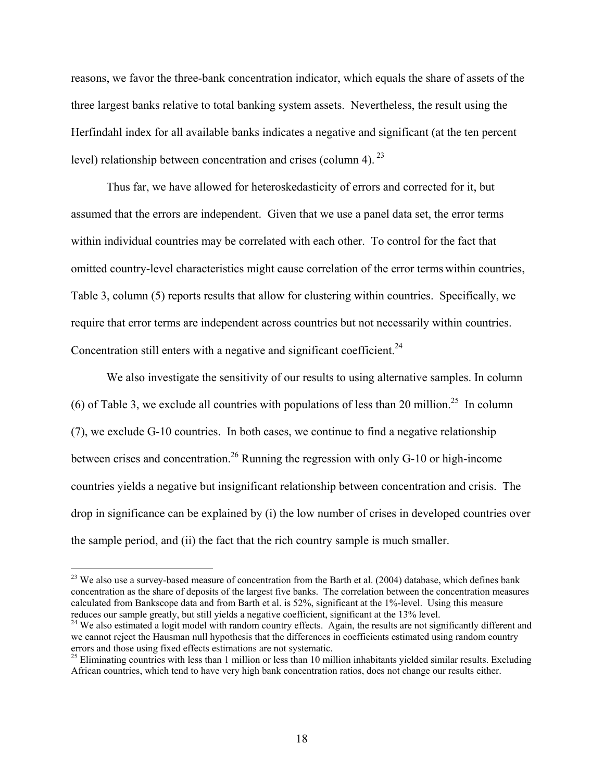reasons, we favor the three-bank concentration indicator, which equals the share of assets of the three largest banks relative to total banking system assets. Nevertheless, the result using the Herfindahl index for all available banks indicates a negative and significant (at the ten percent level) relationship between concentration and crises (column 4).<sup>23</sup>

Thus far, we have allowed for heteroskedasticity of errors and corrected for it, but assumed that the errors are independent. Given that we use a panel data set, the error terms within individual countries may be correlated with each other. To control for the fact that omitted country-level characteristics might cause correlation of the error terms within countries, Table 3, column (5) reports results that allow for clustering within countries. Specifically, we require that error terms are independent across countries but not necessarily within countries. Concentration still enters with a negative and significant coefficient.<sup>24</sup>

We also investigate the sensitivity of our results to using alternative samples. In column (6) of Table 3, we exclude all countries with populations of less than 20 million.<sup>25</sup> In column (7), we exclude G-10 countries. In both cases, we continue to find a negative relationship between crises and concentration.<sup>26</sup> Running the regression with only G-10 or high-income countries yields a negative but insignificant relationship between concentration and crisis. The drop in significance can be explained by (i) the low number of crises in developed countries over the sample period, and (ii) the fact that the rich country sample is much smaller.

<span id="page-18-0"></span><sup>&</sup>lt;sup>23</sup> We also use a survey-based measure of concentration from the Barth et al. (2004) database, which defines bank concentration as the share of deposits of the largest five banks. The correlation between the concentration measures calculated from Bankscope data and from Barth et al. is 52%, significant at the 1%-level. Using this measure reduces our sample greatly, but still yields a negative coefficient, significant at the 13% level.

<span id="page-18-3"></span><span id="page-18-1"></span><sup>&</sup>lt;sup>24</sup> We also estimated a logit model with random country effects. Again, the results are not significantly different and we cannot reject the Hausman null hypothesis that the differences in coefficients estimated using random country errors and those using fixed effects estimations are not systematic.

<span id="page-18-2"></span>errors and those using fixed effects estimations are not systematic.<br><sup>25</sup> Eliminating countries with less than 1 million or less than 10 million inhabitants yielded similar results. Excluding African countries, which tend to have very high bank concentration ratios, does not change our results either.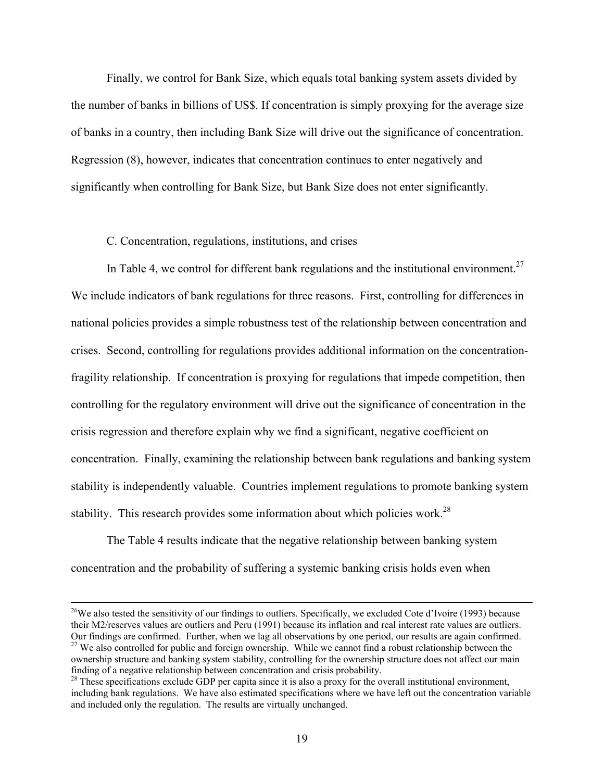Finally, we control for Bank Size, which equals total banking system assets divided by the number of banks in billions of US\$. If concentration is simply proxying for the average size of banks in a country, then including Bank Size will drive out the significance of concentration. Regression (8), however, indicates that concentration continues to enter negatively and significantly when controlling for Bank Size, but Bank Size does not enter significantly.

#### C. Concentration, regulations, institutions, and crises

In Table 4, we control for different bank regulations and the institutional environment.<sup>27</sup> We include indicators of bank regulations for three reasons. First, controlling for differences in national policies provides a simple robustness test of the relationship between concentration and crises. Second, controlling for regulations provides additional information on the concentrationfragility relationship. If concentration is proxying for regulations that impede competition, then controlling for the regulatory environment will drive out the significance of concentration in the crisis regression and therefore explain why we find a significant, negative coefficient on concentration. Finally, examining the relationship between bank regulations and banking system stability is independently valuable. Countries implement regulations to promote banking system stability. This research provides some information about which policies work.<sup>28</sup>

The Table 4 results indicate that the negative relationship between banking system concentration and the probability of suffering a systemic banking crisis holds even when

 $^{26}$ We also tested the sensitivity of our findings to outliers. Specifically, we excluded Cote d'Ivoire (1993) because their M2/reserves values are outliers and Peru (1991) because its inflation and real interest rate values are outliers.<br>Our findings are confirmed. Further, when we lag all observations by one period, our results are again <sup>27</sup> We also controlled for public and foreign ownership. While we cannot find a robust relationship between the ownership structure and banking system stability, controlling for the ownership structure does not affect our main

<span id="page-19-1"></span><span id="page-19-0"></span>finding of a negative relationship between concentration and crisis probability.<br><sup>28</sup> These specifications exclude GDP per capita since it is also a proxy for the overall institutional environment, including bank regulations. We have also estimated specifications where we have left out the concentration variable and included only the regulation. The results are virtually unchanged.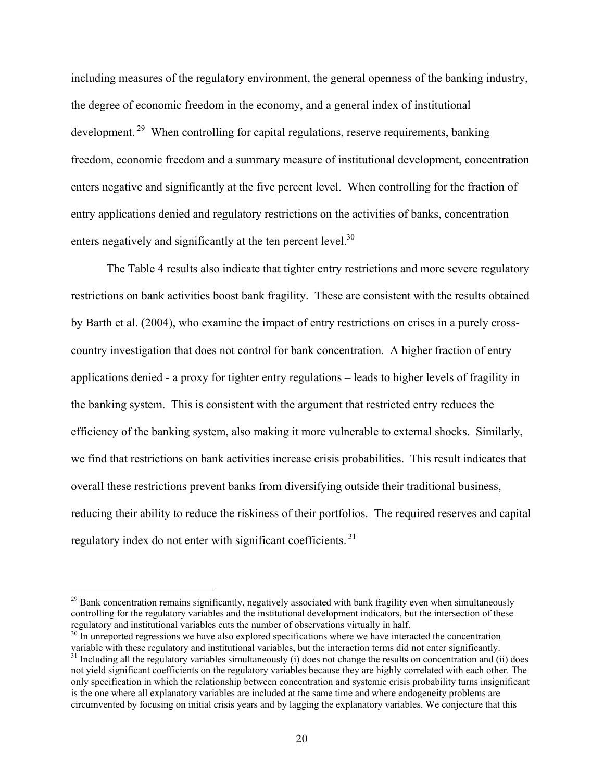including measures of the regulatory environment, the general openness of the banking industry, the degree of economic freedom in the economy, and a general index of institutional development.<sup>29</sup> When controlling for capital regulations, reserve requirements, banking freedom, economic freedom and a summary measure of institutional development, concentration enters negative and significantly at the five percent level. When controlling for the fraction of entry applications denied and regulatory restrictions on the activities of banks, concentration enters negatively and significantly at the ten percent level.<sup>30</sup>

The Table 4 results also indicate that tighter entry restrictions and more severe regulatory restrictions on bank activities boost bank fragility. These are consistent with the results obtained by Barth et al. (2004), who examine the impact of entry restrictions on crises in a purely crosscountry investigation that does not control for bank concentration. A higher fraction of entry applications denied - a proxy for tighter entry regulations – leads to higher levels of fragility in the banking system. This is consistent with the argument that restricted entry reduces the efficiency of the banking system, also making it more vulnerable to external shocks. Similarly, we find that restrictions on bank activities increase crisis probabilities. This result indicates that overall these restrictions prevent banks from diversifying outside their traditional business, reducing their ability to reduce the riskiness of their portfolios. The required reserves and capital regulatory index do not enter with significant coefficients.<sup>31</sup>

<span id="page-20-0"></span> $^{29}$  Bank concentration remains significantly, negatively associated with bank fragility even when simultaneously controlling for the regulatory variables and the institutional development indicators, but the intersection of these

<span id="page-20-1"></span>regulatory and institutional variables cuts the number of observations virtually in half.<br><sup>30</sup> In unreported regressions we have also explored specifications where we have interacted the concentration variable with these

<span id="page-20-2"></span> $31$  Including all the regulatory variables simultaneously (i) does not change the results on concentration and (ii) does not yield significant coefficients on the regulatory variables because they are highly correlated with each other. The only specification in which the relationship between concentration and systemic crisis probability turns insignificant is the one where all explanatory variables are included at the same time and where endogeneity problems are circumvented by focusing on initial crisis years and by lagging the explanatory variables. We conjecture that this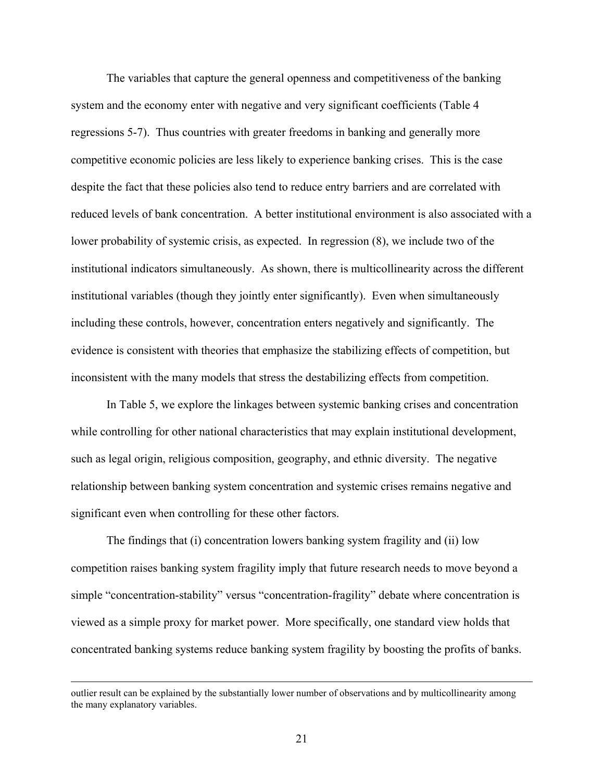The variables that capture the general openness and competitiveness of the banking system and the economy enter with negative and very significant coefficients (Table 4 regressions 5-7). Thus countries with greater freedoms in banking and generally more competitive economic policies are less likely to experience banking crises. This is the case despite the fact that these policies also tend to reduce entry barriers and are correlated with reduced levels of bank concentration. A better institutional environment is also associated with a lower probability of systemic crisis, as expected. In regression (8), we include two of the institutional indicators simultaneously. As shown, there is multicollinearity across the different institutional variables (though they jointly enter significantly). Even when simultaneously including these controls, however, concentration enters negatively and significantly. The evidence is consistent with theories that emphasize the stabilizing effects of competition, but inconsistent with the many models that stress the destabilizing effects from competition.

In Table 5, we explore the linkages between systemic banking crises and concentration while controlling for other national characteristics that may explain institutional development, such as legal origin, religious composition, geography, and ethnic diversity. The negative relationship between banking system concentration and systemic crises remains negative and significant even when controlling for these other factors.

The findings that (i) concentration lowers banking system fragility and (ii) low competition raises banking system fragility imply that future research needs to move beyond a simple "concentration-stability" versus "concentration-fragility" debate where concentration is viewed as a simple proxy for market power. More specifically, one standard view holds that concentrated banking systems reduce banking system fragility by boosting the profits of banks.

outlier result can be explained by the substantially lower number of observations and by multicollinearity among the many explanatory variables.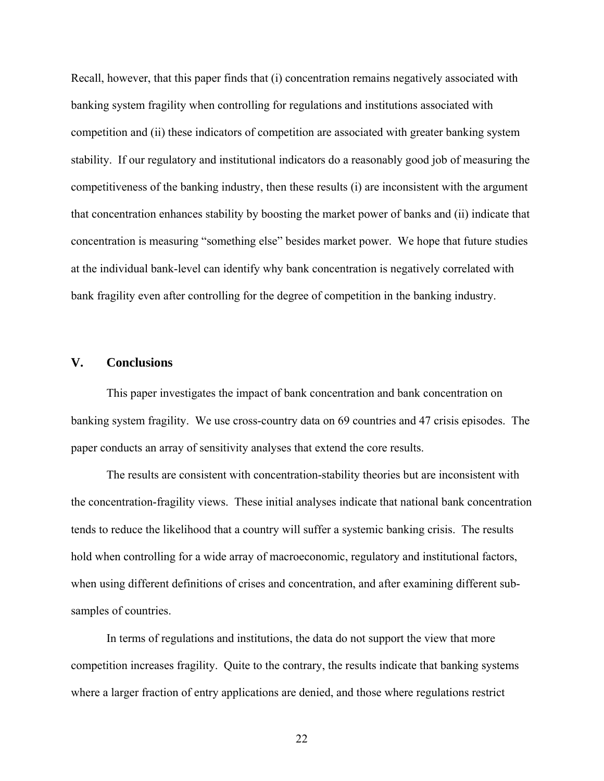Recall, however, that this paper finds that (i) concentration remains negatively associated with banking system fragility when controlling for regulations and institutions associated with competition and (ii) these indicators of competition are associated with greater banking system stability. If our regulatory and institutional indicators do a reasonably good job of measuring the competitiveness of the banking industry, then these results (i) are inconsistent with the argument that concentration enhances stability by boosting the market power of banks and (ii) indicate that concentration is measuring "something else" besides market power. We hope that future studies at the individual bank-level can identify why bank concentration is negatively correlated with bank fragility even after controlling for the degree of competition in the banking industry.

# **V. Conclusions**

This paper investigates the impact of bank concentration and bank concentration on banking system fragility. We use cross-country data on 69 countries and 47 crisis episodes. The paper conducts an array of sensitivity analyses that extend the core results.

The results are consistent with concentration-stability theories but are inconsistent with the concentration-fragility views. These initial analyses indicate that national bank concentration tends to reduce the likelihood that a country will suffer a systemic banking crisis. The results hold when controlling for a wide array of macroeconomic, regulatory and institutional factors, when using different definitions of crises and concentration, and after examining different subsamples of countries.

In terms of regulations and institutions, the data do not support the view that more competition increases fragility. Quite to the contrary, the results indicate that banking systems where a larger fraction of entry applications are denied, and those where regulations restrict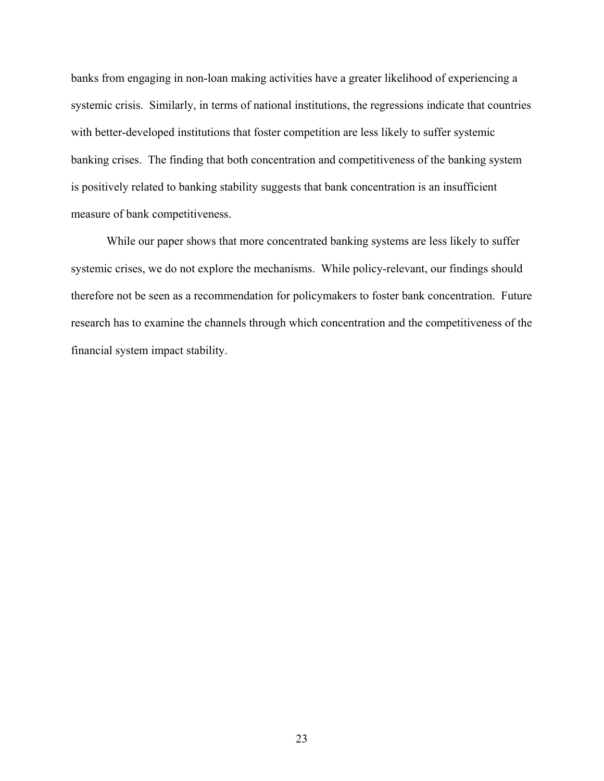banks from engaging in non-loan making activities have a greater likelihood of experiencing a systemic crisis. Similarly, in terms of national institutions, the regressions indicate that countries with better-developed institutions that foster competition are less likely to suffer systemic banking crises. The finding that both concentration and competitiveness of the banking system is positively related to banking stability suggests that bank concentration is an insufficient measure of bank competitiveness.

While our paper shows that more concentrated banking systems are less likely to suffer systemic crises, we do not explore the mechanisms. While policy-relevant, our findings should therefore not be seen as a recommendation for policymakers to foster bank concentration. Future research has to examine the channels through which concentration and the competitiveness of the financial system impact stability.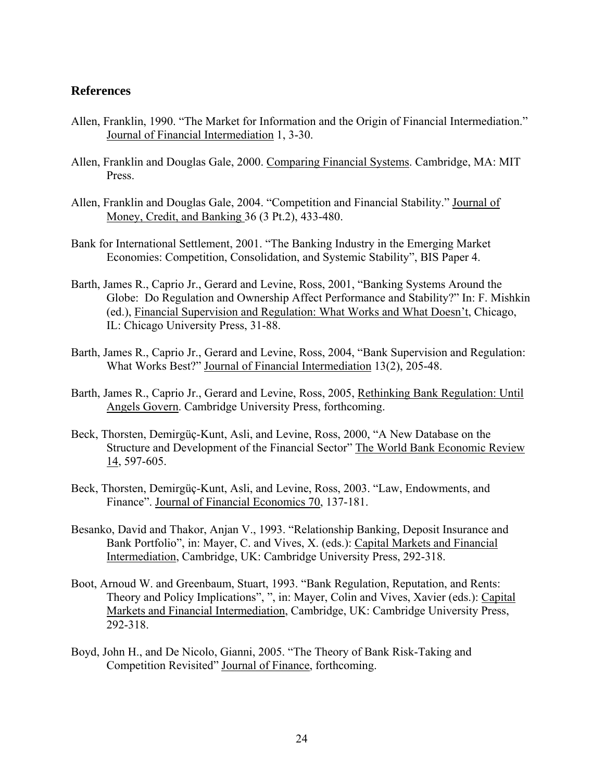# **References**

- Allen, Franklin, 1990. "The Market for Information and the Origin of Financial Intermediation." Journal of Financial Intermediation 1, 3-30.
- Allen, Franklin and Douglas Gale, 2000. Comparing Financial Systems. Cambridge, MA: MIT Press.
- Allen, Franklin and Douglas Gale, 2004. "Competition and Financial Stability." Journal of Money, Credit, and Banking 36 (3 Pt.2), 433-480.
- Bank for International Settlement, 2001. "The Banking Industry in the Emerging Market Economies: Competition, Consolidation, and Systemic Stability", BIS Paper 4.
- Barth, James R., Caprio Jr., Gerard and Levine, Ross, 2001, "Banking Systems Around the Globe: Do Regulation and Ownership Affect Performance and Stability?" In: F. Mishkin (ed.), Financial Supervision and Regulation: What Works and What Doesn't, Chicago, IL: Chicago University Press, 31-88.
- Barth, James R., Caprio Jr., Gerard and Levine, Ross, 2004, "Bank Supervision and Regulation: What Works Best?" Journal of Financial Intermediation 13(2), 205-48.
- Barth, James R., Caprio Jr., Gerard and Levine, Ross, 2005, Rethinking Bank Regulation: Until Angels Govern. Cambridge University Press, forthcoming.
- Beck, Thorsten, Demirgüç-Kunt, Asli, and Levine, Ross, 2000, "A New Database on the Structure and Development of the Financial Sector" The World Bank Economic Review 14, 597-605.
- Beck, Thorsten, Demirgüç-Kunt, Asli, and Levine, Ross, 2003. "Law, Endowments, and Finance". Journal of Financial Economics 70, 137-181.
- Besanko, David and Thakor, Anjan V., 1993. "Relationship Banking, Deposit Insurance and Bank Portfolio", in: Mayer, C. and Vives, X. (eds.): Capital Markets and Financial Intermediation, Cambridge, UK: Cambridge University Press, 292-318.
- Boot, Arnoud W. and Greenbaum, Stuart, 1993. "Bank Regulation, Reputation, and Rents: Theory and Policy Implications", ", in: Mayer, Colin and Vives, Xavier (eds.): Capital Markets and Financial Intermediation, Cambridge, UK: Cambridge University Press, 292-318.
- Boyd, John H., and De Nicolo, Gianni, 2005. "The Theory of Bank Risk-Taking and Competition Revisited" Journal of Finance, forthcoming.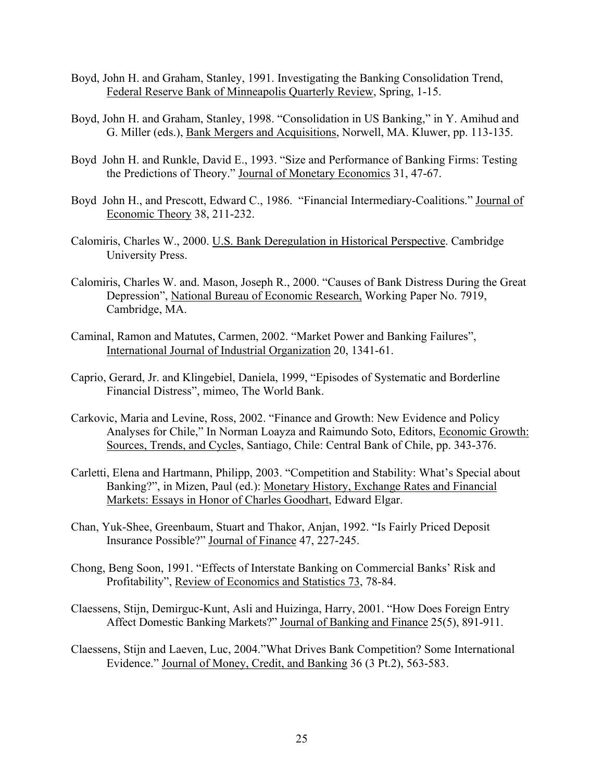- Boyd, John H. and Graham, Stanley, 1991. Investigating the Banking Consolidation Trend, Federal Reserve Bank of Minneapolis Quarterly Review, Spring, 1-15.
- Boyd, John H. and Graham, Stanley, 1998. "Consolidation in US Banking," in Y. Amihud and G. Miller (eds.), Bank Mergers and Acquisitions, Norwell, MA. Kluwer, pp. 113-135.
- Boyd John H. and Runkle, David E., 1993. "Size and Performance of Banking Firms: Testing the Predictions of Theory." Journal of Monetary Economics 31, 47-67.
- Boyd John H., and Prescott, Edward C., 1986. "Financial Intermediary-Coalitions." Journal of Economic Theory 38, 211-232.
- Calomiris, Charles W., 2000. U.S. Bank Deregulation in Historical Perspective. Cambridge University Press.
- Calomiris, Charles W. and. Mason, Joseph R., 2000. "Causes of Bank Distress During the Great Depression", National Bureau of Economic Research, Working Paper No. 7919, Cambridge, MA.
- Caminal, Ramon and Matutes, Carmen, 2002. "Market Power and Banking Failures", International Journal of Industrial Organization 20, 1341-61.
- Caprio, Gerard, Jr. and Klingebiel, Daniela, 1999, "Episodes of Systematic and Borderline Financial Distress", mimeo, The World Bank.
- Carkovic, Maria and Levine, Ross, 2002. "Finance and Growth: New Evidence and Policy Analyses for Chile," In Norman Loayza and Raimundo Soto, Editors, Economic Growth: Sources, Trends, and Cycles, Santiago, Chile: Central Bank of Chile, pp. 343-376.
- Carletti, Elena and Hartmann, Philipp, 2003. "Competition and Stability: What's Special about Banking?", in Mizen, Paul (ed.): Monetary History, Exchange Rates and Financial Markets: Essays in Honor of Charles Goodhart, Edward Elgar.
- Chan, Yuk-Shee, Greenbaum, Stuart and Thakor, Anjan, 1992. "Is Fairly Priced Deposit Insurance Possible?" Journal of Finance 47, 227-245.
- Chong, Beng Soon, 1991. "Effects of Interstate Banking on Commercial Banks' Risk and Profitability", Review of Economics and Statistics 73, 78-84.
- Claessens, Stijn, Demirguc-Kunt, Asli and Huizinga, Harry, 2001. "How Does Foreign Entry Affect Domestic Banking Markets?" Journal of Banking and Finance 25(5), 891-911.
- Claessens, Stijn and Laeven, Luc, 2004."What Drives Bank Competition? Some International Evidence." Journal of Money, Credit, and Banking 36 (3 Pt.2), 563-583.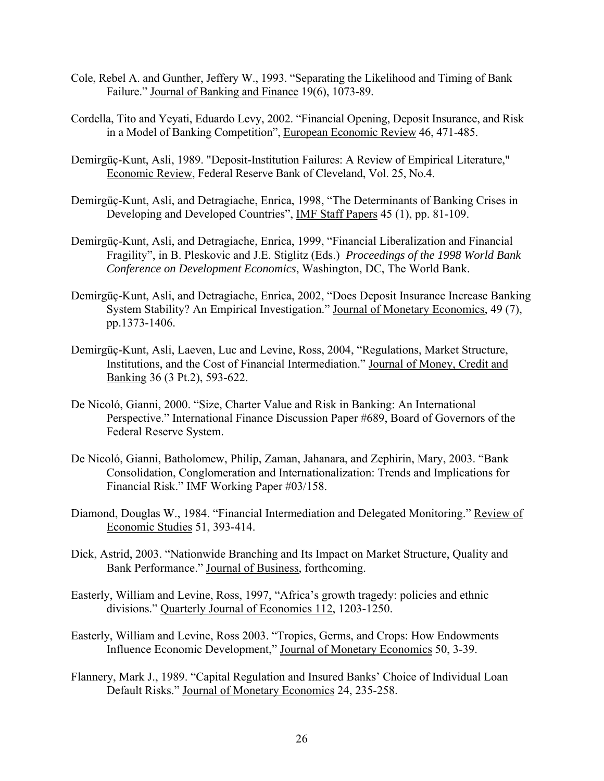- Cole, Rebel A. and Gunther, Jeffery W., 1993. "Separating the Likelihood and Timing of Bank Failure." Journal of Banking and Finance 19(6), 1073-89.
- Cordella, Tito and Yeyati, Eduardo Levy, 2002. "Financial Opening, Deposit Insurance, and Risk in a Model of Banking Competition", European Economic Review 46, 471-485.
- Demirgüç-Kunt, Asli, 1989. "Deposit-Institution Failures: A Review of Empirical Literature," Economic Review, Federal Reserve Bank of Cleveland, Vol. 25, No.4.
- Demirgüç-Kunt, Asli, and Detragiache, Enrica, 1998, "The Determinants of Banking Crises in Developing and Developed Countries", IMF Staff Papers 45 (1), pp. 81-109.
- Demirgüç-Kunt, Asli, and Detragiache, Enrica, 1999, "Financial Liberalization and Financial Fragility", in B. Pleskovic and J.E. Stiglitz (Eds.) *Proceedings of the 1998 World Bank Conference on Development Economics*, Washington, DC, The World Bank.
- Demirgüç-Kunt, Asli, and Detragiache, Enrica, 2002, "Does Deposit Insurance Increase Banking System Stability? An Empirical Investigation." Journal of Monetary Economics, 49 (7), pp.1373-1406.
- Demirgüç-Kunt, Asli, Laeven, Luc and Levine, Ross, 2004, "Regulations, Market Structure, Institutions, and the Cost of Financial Intermediation." Journal of Money, Credit and Banking 36 (3 Pt.2), 593-622.
- De Nicoló, Gianni, 2000. "Size, Charter Value and Risk in Banking: An International Perspective." International Finance Discussion Paper #689, Board of Governors of the Federal Reserve System.
- De Nicoló, Gianni, Batholomew, Philip, Zaman, Jahanara, and Zephirin, Mary, 2003. "Bank Consolidation, Conglomeration and Internationalization: Trends and Implications for Financial Risk." IMF Working Paper #03/158.
- Diamond, Douglas W., 1984. "Financial Intermediation and Delegated Monitoring." Review of Economic Studies 51, 393-414.
- Dick, Astrid, 2003. "Nationwide Branching and Its Impact on Market Structure, Quality and Bank Performance." Journal of Business, forthcoming.
- Easterly, William and Levine, Ross, 1997, "Africa's growth tragedy: policies and ethnic divisions." Quarterly Journal of Economics 112, 1203-1250.
- Easterly, William and Levine, Ross 2003. "Tropics, Germs, and Crops: How Endowments Influence Economic Development," Journal of Monetary Economics 50, 3-39.
- Flannery, Mark J., 1989. "Capital Regulation and Insured Banks' Choice of Individual Loan Default Risks." Journal of Monetary Economics 24, 235-258.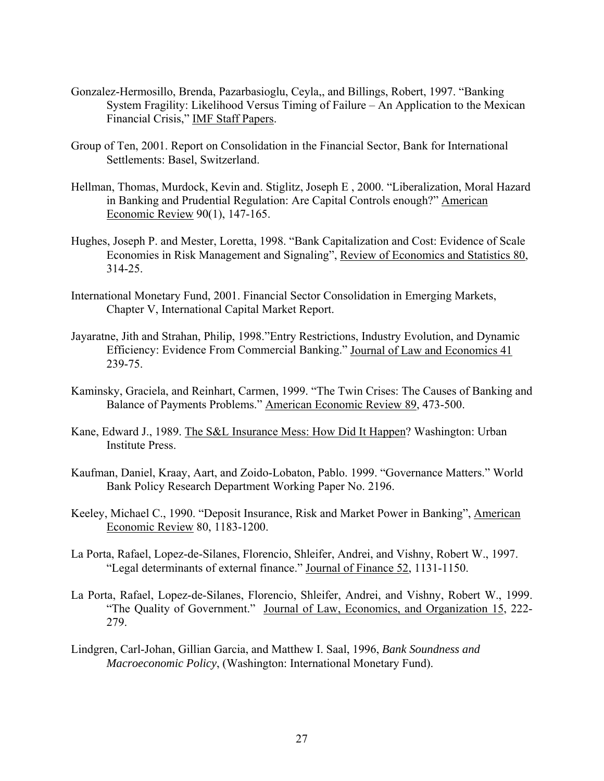- Gonzalez-Hermosillo, Brenda, Pazarbasioglu, Ceyla,, and Billings, Robert, 1997. "Banking System Fragility: Likelihood Versus Timing of Failure – An Application to the Mexican Financial Crisis," IMF Staff Papers.
- Group of Ten, 2001. Report on Consolidation in the Financial Sector, Bank for International Settlements: Basel, Switzerland.
- Hellman, Thomas, Murdock, Kevin and. Stiglitz, Joseph E , 2000. "Liberalization, Moral Hazard in Banking and Prudential Regulation: Are Capital Controls enough?" American Economic Review 90(1), 147-165.
- Hughes, Joseph P. and Mester, Loretta, 1998. "Bank Capitalization and Cost: Evidence of Scale Economies in Risk Management and Signaling", Review of Economics and Statistics 80, 314-25.
- International Monetary Fund, 2001. Financial Sector Consolidation in Emerging Markets, Chapter V, International Capital Market Report.
- Jayaratne, Jith and Strahan, Philip, 1998."Entry Restrictions, Industry Evolution, and Dynamic Efficiency: Evidence From Commercial Banking." Journal of Law and Economics 41 239-75.
- Kaminsky, Graciela, and Reinhart, Carmen, 1999. "The Twin Crises: The Causes of Banking and Balance of Payments Problems." American Economic Review 89, 473-500.
- Kane, Edward J., 1989. The S&L Insurance Mess: How Did It Happen? Washington: Urban Institute Press.
- Kaufman, Daniel, Kraay, Aart, and Zoido-Lobaton, Pablo. 1999. "Governance Matters." World Bank Policy Research Department Working Paper No. 2196.
- Keeley, Michael C., 1990. "Deposit Insurance, Risk and Market Power in Banking", American Economic Review 80, 1183-1200.
- La Porta, Rafael, Lopez-de-Silanes, Florencio, Shleifer, Andrei, and Vishny, Robert W., 1997. "Legal determinants of external finance." Journal of Finance 52, 1131-1150.
- La Porta, Rafael, Lopez-de-Silanes, Florencio, Shleifer, Andrei, and Vishny, Robert W., 1999. "The Quality of Government." Journal of Law, Economics, and Organization 15, 222- 279.
- Lindgren, Carl-Johan, Gillian Garcia, and Matthew I. Saal, 1996, *Bank Soundness and Macroeconomic Policy*, (Washington: International Monetary Fund).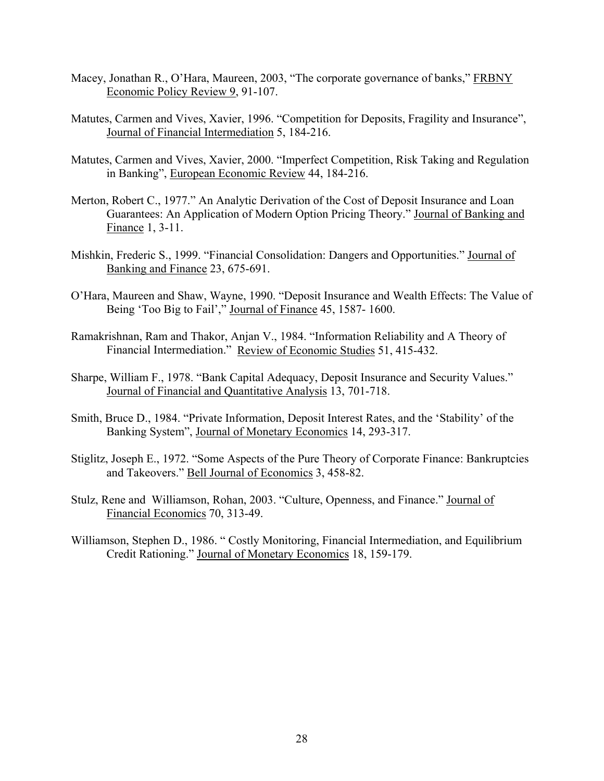- Macey, Jonathan R., O'Hara, Maureen, 2003, "The corporate governance of banks," FRBNY Economic Policy Review 9, 91-107.
- Matutes, Carmen and Vives, Xavier, 1996. "Competition for Deposits, Fragility and Insurance", Journal of Financial Intermediation 5, 184-216.
- Matutes, Carmen and Vives, Xavier, 2000. "Imperfect Competition, Risk Taking and Regulation in Banking", European Economic Review 44, 184-216.
- Merton, Robert C., 1977." An Analytic Derivation of the Cost of Deposit Insurance and Loan Guarantees: An Application of Modern Option Pricing Theory." Journal of Banking and Finance 1, 3-11.
- Mishkin, Frederic S., 1999. "Financial Consolidation: Dangers and Opportunities." Journal of Banking and Finance 23, 675-691.
- O'Hara, Maureen and Shaw, Wayne, 1990. "Deposit Insurance and Wealth Effects: The Value of Being 'Too Big to Fail'," Journal of Finance 45, 1587- 1600.
- Ramakrishnan, Ram and Thakor, Anjan V., 1984. "Information Reliability and A Theory of Financial Intermediation." Review of Economic Studies 51, 415-432.
- Sharpe, William F., 1978. "Bank Capital Adequacy, Deposit Insurance and Security Values." Journal of Financial and Quantitative Analysis 13, 701-718.
- Smith, Bruce D., 1984. "Private Information, Deposit Interest Rates, and the 'Stability' of the Banking System", Journal of Monetary Economics 14, 293-317.
- Stiglitz, Joseph E., 1972. "Some Aspects of the Pure Theory of Corporate Finance: Bankruptcies and Takeovers." Bell Journal of Economics 3, 458-82.
- Stulz, Rene and Williamson, Rohan, 2003. "Culture, Openness, and Finance." Journal of Financial Economics 70, 313-49.
- Williamson, Stephen D., 1986. " Costly Monitoring, Financial Intermediation, and Equilibrium Credit Rationing." Journal of Monetary Economics 18, 159-179.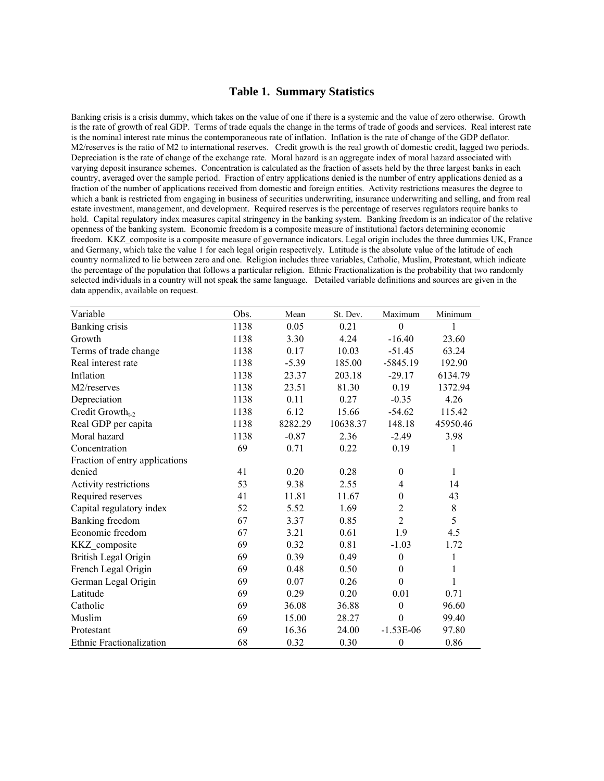#### **Table 1. Summary Statistics**

Banking crisis is a crisis dummy, which takes on the value of one if there is a systemic and the value of zero otherwise. Growth is the rate of growth of real GDP. Terms of trade equals the change in the terms of trade of goods and services. Real interest rate is the nominal interest rate minus the contemporaneous rate of inflation. Inflation is the rate of change of the GDP deflator. M2/reserves is the ratio of M2 to international reserves. Credit growth is the real growth of domestic credit, lagged two periods. Depreciation is the rate of change of the exchange rate. Moral hazard is an aggregate index of moral hazard associated with varying deposit insurance schemes. Concentration is calculated as the fraction of assets held by the three largest banks in each country, averaged over the sample period. Fraction of entry applications denied is the number of entry applications denied as a fraction of the number of applications received from domestic and foreign entities. Activity restrictions measures the degree to which a bank is restricted from engaging in business of securities underwriting, insurance underwriting and selling, and from real estate investment, management, and development. Required reserves is the percentage of reserves regulators require banks to hold. Capital regulatory index measures capital stringency in the banking system. Banking freedom is an indicator of the relative openness of the banking system. Economic freedom is a composite measure of institutional factors determining economic freedom. KKZ composite is a composite measure of governance indicators. Legal origin includes the three dummies UK, France and Germany, which take the value 1 for each legal origin respectively. Latitude is the absolute value of the latitude of each country normalized to lie between zero and one. Religion includes three variables, Catholic, Muslim, Protestant, which indicate the percentage of the population that follows a particular religion. Ethnic Fractionalization is the probability that two randomly selected individuals in a country will not speak the same language. Detailed variable definitions and sources are given in the data appendix, available on request.

| Variable                        | Obs. | Mean    | St. Dev. | Maximum          | Minimum      |
|---------------------------------|------|---------|----------|------------------|--------------|
| Banking crisis                  | 1138 | 0.05    | 0.21     | $\boldsymbol{0}$ | 1            |
| Growth                          | 1138 | 3.30    | 4.24     | $-16.40$         | 23.60        |
| Terms of trade change           | 1138 | 0.17    | 10.03    | $-51.45$         | 63.24        |
| Real interest rate              | 1138 | $-5.39$ | 185.00   | $-5845.19$       | 192.90       |
| Inflation                       | 1138 | 23.37   | 203.18   | $-29.17$         | 6134.79      |
| M2/reserves                     | 1138 | 23.51   | 81.30    | 0.19             | 1372.94      |
| Depreciation                    | 1138 | 0.11    | 0.27     | $-0.35$          | 4.26         |
| Credit Growth <sub>t-2</sub>    | 1138 | 6.12    | 15.66    | $-54.62$         | 115.42       |
| Real GDP per capita             | 1138 | 8282.29 | 10638.37 | 148.18           | 45950.46     |
| Moral hazard                    | 1138 | $-0.87$ | 2.36     | $-2.49$          | 3.98         |
| Concentration                   | 69   | 0.71    | 0.22     | 0.19             | 1            |
| Fraction of entry applications  |      |         |          |                  |              |
| denied                          | 41   | 0.20    | 0.28     | $\boldsymbol{0}$ | $\mathbf{1}$ |
| Activity restrictions           | 53   | 9.38    | 2.55     | 4                | 14           |
| Required reserves               | 41   | 11.81   | 11.67    | $\boldsymbol{0}$ | 43           |
| Capital regulatory index        | 52   | 5.52    | 1.69     | $\overline{c}$   | $\,8\,$      |
| Banking freedom                 | 67   | 3.37    | 0.85     | $\overline{2}$   | 5            |
| Economic freedom                | 67   | 3.21    | 0.61     | 1.9              | 4.5          |
| KKZ composite                   | 69   | 0.32    | 0.81     | $-1.03$          | 1.72         |
| <b>British Legal Origin</b>     | 69   | 0.39    | 0.49     | $\boldsymbol{0}$ | 1            |
| French Legal Origin             | 69   | 0.48    | 0.50     | $\boldsymbol{0}$ | $\mathbf{1}$ |
| German Legal Origin             | 69   | 0.07    | 0.26     | $\theta$         | $\mathbf{1}$ |
| Latitude                        | 69   | 0.29    | 0.20     | 0.01             | 0.71         |
| Catholic                        | 69   | 36.08   | 36.88    | $\boldsymbol{0}$ | 96.60        |
| Muslim                          | 69   | 15.00   | 28.27    | $\mathbf{0}$     | 99.40        |
| Protestant                      | 69   | 16.36   | 24.00    | $-1.53E-06$      | 97.80        |
| <b>Ethnic Fractionalization</b> | 68   | 0.32    | 0.30     | $\boldsymbol{0}$ | 0.86         |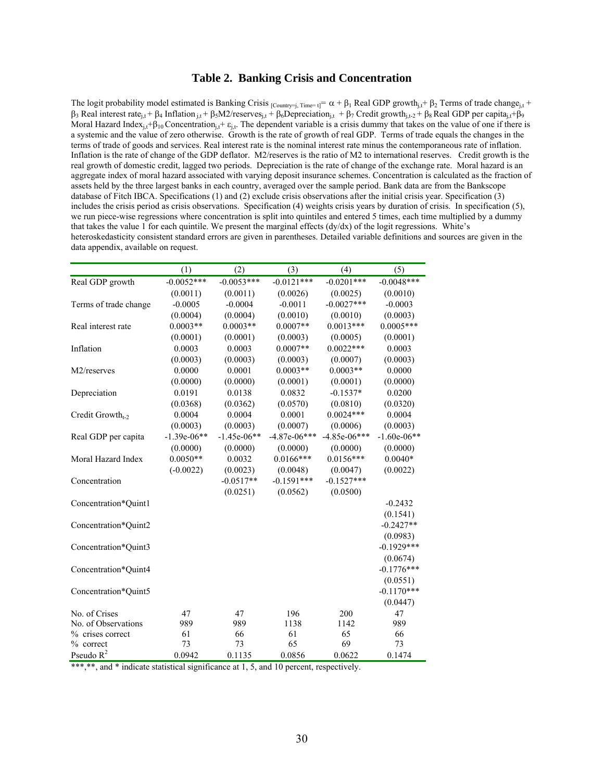#### **Table 2. Banking Crisis and Concentration**

The logit probability model estimated is Banking Crisis  $_{[Country=j, Time=t]} = \alpha + \beta_1$  Real GDP growth<sub>i,t</sub>+  $\beta_2$  Terms of trade change<sub>i,t</sub> +  $β_3$  Real interest rate<sub>it</sub> + β<sub>4</sub> Inflation <sub>it</sub> + β<sub>5</sub>M2/reserves<sub>it</sub> + β<sub>6</sub>Depreciation<sub>it</sub> + β<sub>7</sub> Credit growth<sub>it-2</sub> + β<sub>8</sub> Real GDP per capita<sub>it</sub>+β<sub>9</sub> Moral Hazard Index<sub>i1</sub>+ $\beta_{10}$  Concentration<sub>i1</sub>+  $\varepsilon_{11}$ . The dependent variable is a crisis dummy that takes on the value of one if there is a systemic and the value of zero otherwise. Growth is the rate of growth of real GDP. Terms of trade equals the changes in the terms of trade of goods and services. Real interest rate is the nominal interest rate minus the contemporaneous rate of inflation. Inflation is the rate of change of the GDP deflator. M2/reserves is the ratio of M2 to international reserves. Credit growth is the real growth of domestic credit, lagged two periods. Depreciation is the rate of change of the exchange rate. Moral hazard is an aggregate index of moral hazard associated with varying deposit insurance schemes. Concentration is calculated as the fraction of assets held by the three largest banks in each country, averaged over the sample period. Bank data are from the Bankscope database of Fitch IBCA. Specifications (1) and (2) exclude crisis observations after the initial crisis year. Specification (3) includes the crisis period as crisis observations. Specification (4) weights crisis years by duration of crisis. In specification (5), we run piece-wise regressions where concentration is split into quintiles and entered 5 times, each time multiplied by a dummy that takes the value 1 for each quintile. We present the marginal effects  $\frac{dv}{dx}$  of the logit regressions. White's heteroskedasticity consistent standard errors are given in parentheses. Detailed variable definitions and sources are given in the data appendix, available on request.

|                              | (1)           | (2)           | (3)            | (4)            | (5)           |
|------------------------------|---------------|---------------|----------------|----------------|---------------|
| Real GDP growth              | $-0.0052***$  | $-0.0053***$  | $-0.0121***$   | $-0.0201***$   | $-0.0048***$  |
|                              | (0.0011)      | (0.0011)      | (0.0026)       | (0.0025)       | (0.0010)      |
| Terms of trade change        | $-0.0005$     | $-0.0004$     | $-0.0011$      | $-0.0027***$   | $-0.0003$     |
|                              | (0.0004)      | (0.0004)      | (0.0010)       | (0.0010)       | (0.0003)      |
| Real interest rate           | $0.0003**$    | $0.0003**$    | $0.0007**$     | $0.0013***$    | $0.0005***$   |
|                              | (0.0001)      | (0.0001)      | (0.0003)       | (0.0005)       | (0.0001)      |
| Inflation                    | 0.0003        | 0.0003        | $0.0007**$     | $0.0022***$    | 0.0003        |
|                              | (0.0003)      | (0.0003)      | (0.0003)       | (0.0007)       | (0.0003)      |
| M <sub>2</sub> /reserves     | 0.0000        | 0.0001        | $0.0003**$     | $0.0003**$     | 0.0000        |
|                              | (0.0000)      | (0.0000)      | (0.0001)       | (0.0001)       | (0.0000)      |
| Depreciation                 | 0.0191        | 0.0138        | 0.0832         | $-0.1537*$     | 0.0200        |
|                              | (0.0368)      | (0.0362)      | (0.0570)       | (0.0810)       | (0.0320)      |
| Credit Growth <sub>t-2</sub> | 0.0004        | 0.0004        | 0.0001         | $0.0024***$    | 0.0004        |
|                              | (0.0003)      | (0.0003)      | (0.0007)       | (0.0006)       | (0.0003)      |
| Real GDP per capita          | $-1.39e-06**$ | $-1.45e-06**$ | $-4.87e-06***$ | $-4.85e-06***$ | $-1.60e-06**$ |
|                              | (0.0000)      | (0.0000)      | (0.0000)       | (0.0000)       | (0.0000)      |
| Moral Hazard Index           | $0.0050**$    | 0.0032        | $0.0166***$    | $0.0156***$    | $0.0040*$     |
|                              | $(-0.0022)$   | (0.0023)      | (0.0048)       | (0.0047)       | (0.0022)      |
| Concentration                |               | $-0.0517**$   | $-0.1591***$   | $-0.1527***$   |               |
|                              |               | (0.0251)      | (0.0562)       | (0.0500)       |               |
| Concentration*Quint1         |               |               |                |                | $-0.2432$     |
|                              |               |               |                |                | (0.1541)      |
| Concentration*Quint2         |               |               |                |                | $-0.2427**$   |
|                              |               |               |                |                | (0.0983)      |
| Concentration*Quint3         |               |               |                |                | $-0.1929***$  |
|                              |               |               |                |                | (0.0674)      |
| Concentration*Quint4         |               |               |                |                | $-0.1776***$  |
|                              |               |               |                |                | (0.0551)      |
| Concentration*Quint5         |               |               |                |                | $-0.1170***$  |
|                              |               |               |                |                | (0.0447)      |
| No. of Crises                | 47            | 47            | 196            | 200            | 47            |
| No. of Observations          | 989           | 989           | 1138           | 1142           | 989           |
| % crises correct             | 61            | 66            | 61             | 65             | 66            |
| $%$ correct                  | 73            | 73            | 65             | 69             | 73            |
| Pseudo $R^2$                 | 0.0942        | 0.1135        | 0.0856         | 0.0622         | 0.1474        |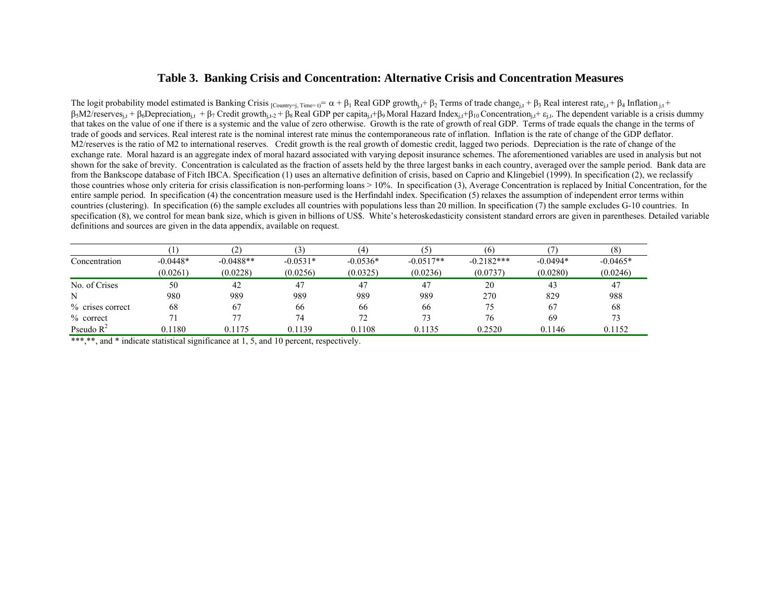#### **Table 3. Banking Crisis and Concentration: Alternative Crisis and Concentration Measures**

The logit probability model estimated is Banking Crisis  $_{[Countiv=i]}$ ,  $T_{\text{time}=t} = \alpha + \beta_1$  Real GDP growth<sub>i</sub>, $+ \beta_2$  Terms of trade change<sub>i,t</sub> +  $\beta_3$  Real interest rate<sub>i,t</sub> +  $\beta_4$  Inflation  $_{i,t}$  +  $\beta_5$ M2/reserves<sub>it</sub> +  $\beta_6$ Depreciation<sub>it</sub> +  $\beta_7$  Credit growth<sub>it-2</sub> +  $\beta_8$  Real GDP per capita<sub>i t</sub>+β<sub>9</sub> Moral Hazard Index<sub>it</sub>+β<sub>10</sub> Concentration<sub>it</sub>+ ε<sub>it</sub>. The dependent variable is a crisis dummy that takes on the value of one if there is a systemic and the value of zero otherwise. Growth is the rate of growth of real GDP. Terms of trade equals the change in the terms of trade of goods and services. Real interest rate is the nominal interest rate minus the contemporaneous rate of inflation. Inflation is the rate of change of the GDP deflator. M2/reserves is the ratio of M2 to international reserves. Credit growth is the real growth of domestic credit, lagged two periods. Depreciation is the rate of change of the exchange rate. Moral hazard is an aggregate index of moral hazard associated with varying deposit insurance schemes. The aforementioned variables are used in analysis but not shown for the sake of brevity. Concentration is calculated as the fraction of assets held by the three largest banks in each country, averaged over the sample period. Bank data are from the Bankscope database of Fitch IBCA. Specification (1) uses an alternative definition of crisis, based on Caprio and Klingebiel (1999). In specification (2), we reclassify those countries whose only criteria for crisis classification is non-performing loans > 10%. In specification (3), Average Concentration is replaced by Initial Concentration, for the entire sample period. In specification (4) the concentration measure used is the Herfindahl index. Specification (5) relaxes the assumption of independent error terms within countries (clustering). In specification (6) the sample excludes all countries with populations less than 20 million. In specification (7) the sample excludes G-10 countries. In specification (8), we control for mean bank size, which is given in billions of US\$. White's heteroskedasticity consistent standard errors are given in parentheses. Detailed variable definitions and sources are given in the data appendix, available on request.

|                  |            |             |            |            |             | (6)          |            |            |
|------------------|------------|-------------|------------|------------|-------------|--------------|------------|------------|
| Concentration    | $-0.0448*$ | $-0.0488**$ | $-0.0531*$ | $-0.0536*$ | $-0.0517**$ | $-0.2182***$ | $-0.0494*$ | $-0.0465*$ |
|                  | (0.0261)   | (0.0228)    | (0.0256)   | (0.0325)   | (0.0236)    | (0.0737)     | (0.0280)   | (0.0246)   |
| No. of Crises    | 50         | 42          | 47         | 47         | 47          | 20           | 43         | 47         |
| N                | 980        | 989         | 989        | 989        | 989         | 270          | 829        | 988        |
| % crises correct | 68         | 67          | 66         | 66         | 66          | 75           | 67         | 68         |
| $\%$ correct     |            |             | 74         | 72         | 73          | 76           | 69         | 73         |
| Pseudo $R^2$     | 0.1180     | 0.1175      | 0.1139     | 0.1108     | 0.1135      | 0.2520       | 0.1146     | 0.1152     |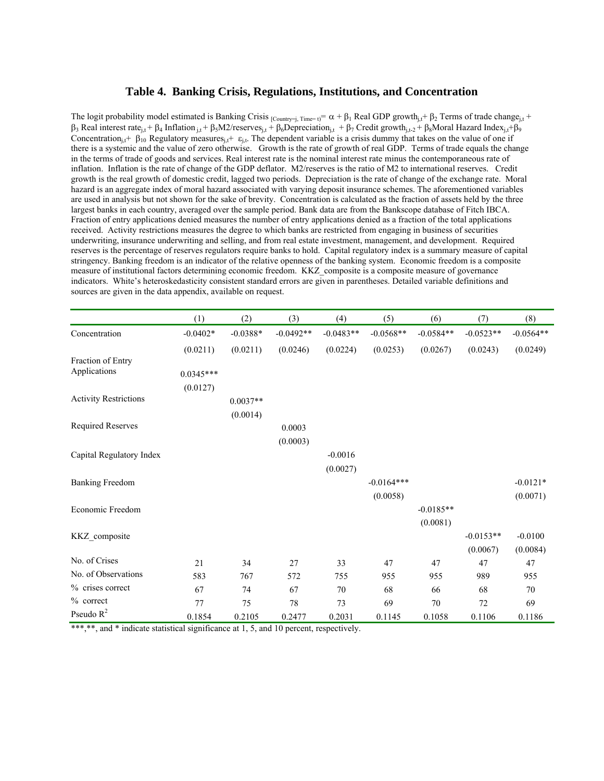#### **Table 4. Banking Crisis, Regulations, Institutions, and Concentration**

The logit probability model estimated is Banking Crisis  $_{[Countty=i, Time=t]} = \alpha + \beta_1$  Real GDP growth<sub>i,t</sub>+  $\beta_2$  Terms of trade change<sub>i,t</sub> +  $β_3$  Real interest rate<sub>i,t</sub> + β<sub>4</sub> Inflation<sub>i,t</sub> + β<sub>5</sub>M2/reserves<sub>i,t</sub> + β<sub>6</sub>Depreciation<sub>i,t</sub> + β<sub>7</sub> Credit growth<sub>i,t-2</sub> + β<sub>8</sub>Moral Hazard Index<sub>i,t</sub>+β<sub>9</sub> Concentration<sub>i,t</sub>+  $\beta_{10}$  Regulatory measures<sub>i,t</sub>+  $\varepsilon_{i,t}$ . The dependent variable is a crisis dummy that takes on the value of one if there is a systemic and the value of zero otherwise. Growth is the rate of growth of real GDP. Terms of trade equals the change in the terms of trade of goods and services. Real interest rate is the nominal interest rate minus the contemporaneous rate of inflation. Inflation is the rate of change of the GDP deflator. M2/reserves is the ratio of M2 to international reserves. Credit growth is the real growth of domestic credit, lagged two periods. Depreciation is the rate of change of the exchange rate. Moral hazard is an aggregate index of moral hazard associated with varying deposit insurance schemes. The aforementioned variables are used in analysis but not shown for the sake of brevity. Concentration is calculated as the fraction of assets held by the three largest banks in each country, averaged over the sample period. Bank data are from the Bankscope database of Fitch IBCA. Fraction of entry applications denied measures the number of entry applications denied as a fraction of the total applications received. Activity restrictions measures the degree to which banks are restricted from engaging in business of securities underwriting, insurance underwriting and selling, and from real estate investment, management, and development. Required reserves is the percentage of reserves regulators require banks to hold. Capital regulatory index is a summary measure of capital stringency. Banking freedom is an indicator of the relative openness of the banking system. Economic freedom is a composite measure of institutional factors determining economic freedom. KKZ\_composite is a composite measure of governance indicators. White's heteroskedasticity consistent standard errors are given in parentheses. Detailed variable definitions and sources are given in the data appendix, available on request.

|                              | (1)         | (2)        | (3)         | (4)         | (5)          | (6)         | (7)         | (8)         |
|------------------------------|-------------|------------|-------------|-------------|--------------|-------------|-------------|-------------|
| Concentration                | $-0.0402*$  | $-0.0388*$ | $-0.0492**$ | $-0.0483**$ | $-0.0568**$  | $-0.0584**$ | $-0.0523**$ | $-0.0564**$ |
|                              | (0.0211)    | (0.0211)   | (0.0246)    | (0.0224)    | (0.0253)     | (0.0267)    | (0.0243)    | (0.0249)    |
| Fraction of Entry            |             |            |             |             |              |             |             |             |
| Applications                 | $0.0345***$ |            |             |             |              |             |             |             |
|                              | (0.0127)    |            |             |             |              |             |             |             |
| <b>Activity Restrictions</b> |             | $0.0037**$ |             |             |              |             |             |             |
|                              |             | (0.0014)   |             |             |              |             |             |             |
| <b>Required Reserves</b>     |             |            | 0.0003      |             |              |             |             |             |
|                              |             |            | (0.0003)    |             |              |             |             |             |
| Capital Regulatory Index     |             |            |             | $-0.0016$   |              |             |             |             |
|                              |             |            |             | (0.0027)    |              |             |             |             |
| <b>Banking Freedom</b>       |             |            |             |             | $-0.0164***$ |             |             | $-0.0121*$  |
|                              |             |            |             |             | (0.0058)     |             |             | (0.0071)    |
| Economic Freedom             |             |            |             |             |              | $-0.0185**$ |             |             |
|                              |             |            |             |             |              | (0.0081)    |             |             |
| KKZ_composite                |             |            |             |             |              |             | $-0.0153**$ | $-0.0100$   |
|                              |             |            |             |             |              |             | (0.0067)    | (0.0084)    |
| No. of Crises                | 21          | 34         | 27          | 33          | 47           | 47          | 47          | 47          |
| No. of Observations          | 583         | 767        | 572         | 755         | 955          | 955         | 989         | 955         |
| % crises correct             | 67          | 74         | 67          | 70          | 68           | 66          | 68          | 70          |
| $%$ correct                  | 77          | 75         | 78          | 73          | 69           | 70          | 72          | 69          |
| Pseudo $R^2$                 | 0.1854      | 0.2105     | 0.2477      | 0.2031      | 0.1145       | 0.1058      | 0.1106      | 0.1186      |